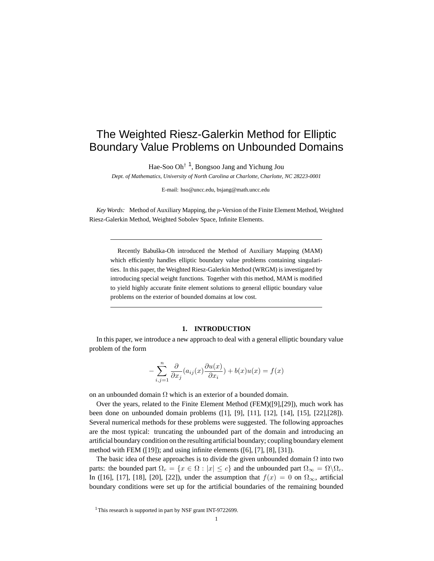# The Weighted Riesz-Galerkin Method for Elliptic Boundary Value Problems on Unbounded Domains

Hae-Soo Oh<sup>† 1</sup>, Bongsoo Jang and Yichung Jou

*Dept. of Mathematics, University of North Carolina at Charlotte, Charlotte, NC 28223-0001*

E-mail: hso@uncc.edu, bsjang@math.uncc.edu

*Key Words:* Method of Auxiliary Mapping, the p-Version of the Finite Element Method, Weighted Riesz-Galerkin Method, Weighted Sobolev Space, Infinite Elements.

Recently Babuška-Oh introduced the Method of Auxiliary Mapping (MAM) which efficiently handles elliptic boundary value problems containing singularities. In this paper, the Weighted Riesz-Galerkin Method (WRGM) is investigated by introducing special weight functions. Together with this method, MAM is modified to yield highly accurate finite element solutions to general elliptic boundary value problems on the exterior of bounded domains at low cost.

#### **1. INTRODUCTION**

In this paper, we introduce a new approach to deal with a general elliptic boundary value problem of the form

$$
-\sum_{i,j=1}^n \frac{\partial}{\partial x_j}(a_{ij}(x)\frac{\partial u(x)}{\partial x_i}) + b(x)u(x) = f(x)
$$

on an unbounded domain  $\Omega$  which is an exterior of a bounded domain.

Over the years, related to the Finite Element Method (FEM)([9],[29]), much work has been done on unbounded domain problems ([1], [9], [11], [12], [14], [15], [22],[28]). Several numerical methods for these problems were suggested. The following approaches are the most typical: truncating the unbounded part of the domain and introducing an artificial boundary condition on the resulting artificial boundary; coupling boundary element method with FEM ([19]); and using infinite elements ([6], [7], [8], [31]).

The basic idea of these approaches is to divide the given unbounded domain  $\Omega$  into two parts: the bounded part  $\Omega_c = \{x \in \Omega : |x| \le c\}$  and the unbounded part  $\Omega_\infty = \Omega \backslash \Omega_c$ . In ([16], [17], [18], [20], [22]), under the assumption that  $f(x) = 0$  on  $\Omega_{\infty}$ , artificial boundary conditions were set up for the artificial boundaries of the remaining bounded

<sup>&</sup>lt;sup>1</sup>This research is supported in part by NSF grant INT-9722699.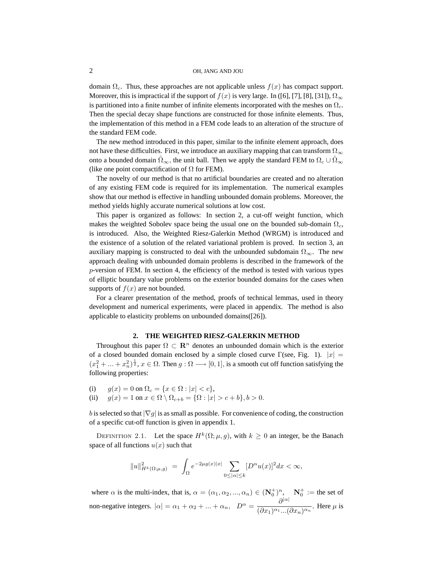domain  $\Omega_c$ . Thus, these approaches are not applicable unless  $f(x)$  has compact support. Moreover, this is impractical if the support of  $f(x)$  is very large. In ([6], [7], [8], [31]),  $\Omega_{\infty}$ is partitioned into a finite number of infinite elements incorporated with the meshes on  $\Omega_c$ . Then the special decay shape functions are constructed for those infinite elements. Thus, the implementation of this method in a FEM code leads to an alteration of the structure of the standard FEM code.

The new method introduced in this paper, similar to the infinite element approach, does not have these difficulties. First, we introduce an auxiliary mapping that can transform  $\Omega_{\infty}$ onto a bounded domain  $\hat{\Omega}_{\infty}$ , the unit ball. Then we apply the standard FEM to  $\Omega_c \cup \hat{\Omega}_{\infty}$ (like one point compactification of  $\Omega$  for FEM).

The novelty of our method is that no artificial boundaries are created and no alteration of any existing FEM code is required for its implementation. The numerical examples show that our method is effective in handling unbounded domain problems. Moreover, the method yields highly accurate numerical solutions at low cost.

This paper is organized as follows: In section 2, a cut-off weight function, which makes the weighted Sobolev space being the usual one on the bounded sub-domain  $\Omega_c$ , is introduced. Also, the Weighted Riesz-Galerkin Method (WRGM) is introduced and the existence of a solution of the related variational problem is proved. In section 3, an auxiliary mapping is constructed to deal with the unbounded subdomain  $\Omega_{\infty}$ . The new approach dealing with unbounded domain problems is described in the framework of the  $p$ -version of FEM. In section 4, the efficiency of the method is tested with various types of elliptic boundary value problems on the exterior bounded domains for the cases when supports of  $f(x)$  are not bounded.

For a clearer presentation of the method, proofs of technical lemmas, used in theory development and numerical experiments, were placed in appendix. The method is also applicable to elasticity problems on unbounded domains([26]).

### **2. THE WEIGHTED RIESZ-GALERKIN METHOD**

Throughout this paper  $\Omega \subset \mathbb{R}^n$  denotes an unbounded domain which is the exterior of a closed bounded domain enclosed by a simple closed curve Γ(see, Fig. 1).  $|x| =$  $(x_1^2 + ... + x_n^2)^{\frac{1}{2}}$ ,  $x \in \Omega$ . Then  $g : \Omega \longrightarrow [0, 1]$ , is a smooth cut off function satisfying the following properties:

(i)  $g(x) = 0$  on  $\Omega_c = \{x \in \Omega : |x| < c\},$ <br>(ii)  $q(x) = 1$  on  $x \in \Omega \setminus \Omega_{c+b} = \{\Omega : |x|$  $g(x) = 1$  on  $x \in \Omega \setminus \Omega_{c+b} = {\Omega : |x| > c+b}, b > 0.$ 

b is selected so that  $|\nabla g|$  is as small as possible. For convenience of coding, the construction of a specific cut-off function is given in appendix 1.

DEFINITION 2.1. Let the space  $H^k(\Omega; \mu, g)$ , with  $k \ge 0$  an integer, be the Banach space of all functions  $u(x)$  such that

$$
||u||_{H^{k}(\Omega;\mu,g)}^{2} = \int_{\Omega} e^{-2\mu g(x)|x|} \sum_{0 \leq |\alpha| \leq k} [D^{\alpha} u(x)]^{2} dx < \infty,
$$

where  $\alpha$  is the multi-index, that is,  $\alpha = (\alpha_1, \alpha_2, ..., \alpha_n) \in (\mathbb{N}_0^+)^n$ ,  $\mathbb{N}_0^+ :=$  the set of non-negative integers.  $|\alpha| = \alpha_1 + \alpha_2 + ... + \alpha_n$ ,  $D^{\alpha} = \frac{\partial^{|\alpha|}}{(\partial x_1)^{\alpha_1}}$  $\frac{\delta}{(\partial x_1)^{\alpha_1} \dots (\partial x_n)^{\alpha_n}}$ . Here  $\mu$  is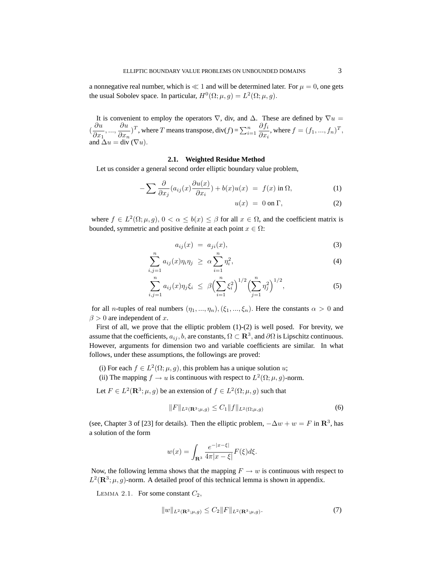a nonnegative real number, which is  $\ll 1$  and will be determined later. For  $\mu = 0$ , one gets the usual Sobolev space. In particular,  $H^0(\Omega; \mu, g) = L^2(\Omega; \mu, g)$ .

It is convenient to employ the operators  $\nabla$ , div, and  $\Delta$ . These are defined by  $\nabla u =$  $\left(\frac{\partial u}{\partial x}\right)$  $\frac{\partial u}{\partial x_1},...,\frac{\partial u}{\partial x_r}$  $\frac{\partial u}{\partial x_n}$  T, where T means transpose, div(f) =  $\sum_{i=1}^n$  $\partial f_i$  $\frac{\partial f_i}{\partial x_i}$ , where  $f = (f_1, ..., f_n)^T$ , and  $\Delta u = \text{div} (\nabla u)$ .

## **2.1. Weighted Residue Method**

Let us consider a general second order elliptic boundary value problem,

$$
-\sum \frac{\partial}{\partial x_j}(a_{ij}(x)\frac{\partial u(x)}{\partial x_i}) + b(x)u(x) = f(x) \text{ in } \Omega,
$$
\n(1)

$$
u(x) = 0 \text{ on } \Gamma,\tag{2}
$$

where  $f \in L^2(\Omega; \mu, g), 0 < \alpha \leq b(x) \leq \beta$  for all  $x \in \Omega$ , and the coefficient matrix is bounded, symmetric and positive definite at each point  $x \in \Omega$ :

$$
a_{ij}(x) = a_{ji}(x), \tag{3}
$$

$$
\sum_{i,j=1}^{n} a_{ij}(x)\eta_i\eta_j \geq \alpha \sum_{i=1}^{n} \eta_i^2,\tag{4}
$$

$$
\sum_{i,j=1}^{n} a_{ij}(x)\eta_j \xi_i \leq \beta \Big(\sum_{i=1}^{n} \xi_i^2\Big)^{1/2} \Big(\sum_{j=1}^{n} \eta_j^2\Big)^{1/2}, \tag{5}
$$

for all *n*-tuples of real numbers  $(\eta_1, ..., \eta_n), (\xi_1, ..., \xi_n)$ . Here the constants  $\alpha > 0$  and  $\beta > 0$  are independent of x.

First of all, we prove that the elliptic problem (1)-(2) is well posed. For brevity, we assume that the coefficients,  $a_{ij}$ ,  $b$ , are constants,  $\Omega \subset \mathbf{R}^3$ , and  $\partial \Omega$  is Lipschitz continuous. However, arguments for dimension two and variable coefficients are similar. In what follows, under these assumptions, the followings are proved:

- (i) For each  $f \in L^2(\Omega; \mu, g)$ , this problem has a unique solution u;
- (ii) The mapping  $f \to u$  is continuous with respect to  $L^2(\Omega; \mu, g)$ -norm.

Let  $F \in L^2(\mathbf{R}^3; \mu, g)$  be an extension of  $f \in L^2(\Omega; \mu, g)$  such that

$$
||F||_{L^{2}(\mathbf{R}^{3};\mu,g)} \leq C_{1}||f||_{L^{2}(\Omega;\mu,g)}
$$
(6)

(see, Chapter 3 of [23] for details). Then the elliptic problem,  $-\Delta w + w = F$  in  $\mathbb{R}^3$ , has a solution of the form

$$
w(x) = \int_{\mathbf{R}^3} \frac{e^{-|x-\xi|}}{4\pi |x-\xi|} F(\xi) d\xi.
$$

Now, the following lemma shows that the mapping  $F \to w$  is continuous with respect to  $L^2(\mathbf{R}^3; \mu, g)$ -norm. A detailed proof of this technical lemma is shown in appendix.

LEMMA 2.1. For some constant  $C_2$ ,

$$
||w||_{L^{2}(\mathbf{R}^{3};\mu,g)} \leq C_{2}||F||_{L^{2}(\mathbf{R}^{3};\mu,g)}.
$$
\n(7)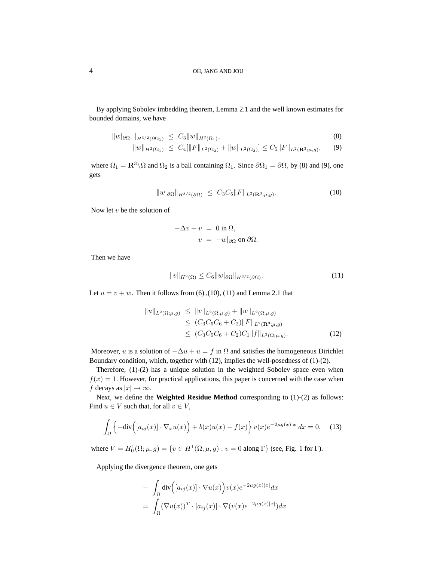By applying Sobolev imbedding theorem, Lemma 2.1 and the well known estimates for bounded domains, we have

$$
||w|_{\partial\Omega_1}||_{H^{3/2}(\partial\Omega_1)} \leq C_3||w||_{H^2(\Omega_1)},
$$
\n(8)

$$
||w||_{H^{2}(\Omega_{1})} \leq C_{4}[||F||_{L^{2}(\Omega_{2})} + ||w||_{L^{2}(\Omega_{2})}] \leq C_{5}||F||_{L^{2}(\mathbf{R}^{3};\mu,g)}, \quad (9)
$$

where  $\Omega_1 = \mathbb{R}^3 \setminus \Omega$  and  $\Omega_2$  is a ball containing  $\Omega_1$ . Since  $\partial \Omega_1 = \partial \Omega$ , by (8) and (9), one gets

$$
||w|_{\partial\Omega}||_{H^{3/2}(\partial\Omega)} \leq C_3 C_5 ||F||_{L^2(\mathbf{R}^3; \mu, g)}.
$$
\n(10)

Now let  $v$  be the solution of

$$
-\Delta v + v = 0 \text{ in } \Omega,
$$
  

$$
v = -w|_{\partial\Omega} \text{ on } \partial\Omega.
$$

Then we have

$$
||v||_{H^2(\Omega)} \le C_6 ||w|_{\partial\Omega} ||_{H^{3/2}(\partial\Omega)}.
$$
\n(11)

Let  $u = v + w$ . Then it follows from (6), (10), (11) and Lemma 2.1 that

$$
||u||_{L^{2}(\Omega;\mu,g)} \leq ||v||_{L^{2}(\Omega;\mu,g)} + ||w||_{L^{2}(\Omega;\mu,g)}\leq (C_{3}C_{5}C_{6} + C_{2})||F||_{L^{2}(\mathbf{R}^{3};\mu,g)}\leq (C_{3}C_{5}C_{6} + C_{2})C_{1}||f||_{L^{2}(\Omega;\mu,g)}.
$$
\n(12)

Moreover, u is a solution of  $-\Delta u + u = f$  in  $\Omega$  and satisfies the homogeneous Dirichlet Boundary condition, which, together with (12), implies the well-posedness of (1)-(2).

Therefore, (1)-(2) has a unique solution in the weighted Sobolev space even when  $f(x) = 1$ . However, for practical applications, this paper is concerned with the case when f decays as  $|x| \to \infty$ .

Next, we define the **Weighted Residue Method** corresponding to (1)-(2) as follows: Find  $u \in V$  such that, for all  $v \in V$ ,

$$
\int_{\Omega} \left\{-\text{div}\Big([a_{ij}(x)] \cdot \nabla_x u(x)\Big) + b(x)u(x) - f(x)\right\} v(x)e^{-2\mu g(x)|x|}dx = 0, \quad (13)
$$

where  $V = H_0^1(\Omega; \mu, g) = \{v \in H^1(\Omega; \mu, g) : v = 0 \text{ along } \Gamma\}$  (see, Fig. 1 for  $\Gamma$ ).

Applying the divergence theorem, one gets

$$
- \int_{\Omega} \operatorname{div} \Big( [a_{ij}(x)] \cdot \nabla u(x) \Big) v(x) e^{-2\mu g(x)|x|} dx
$$
  

$$
= \int_{\Omega} (\nabla u(x))^T \cdot [a_{ij}(x)] \cdot \nabla (v(x) e^{-2\mu g(x)|x|}) dx
$$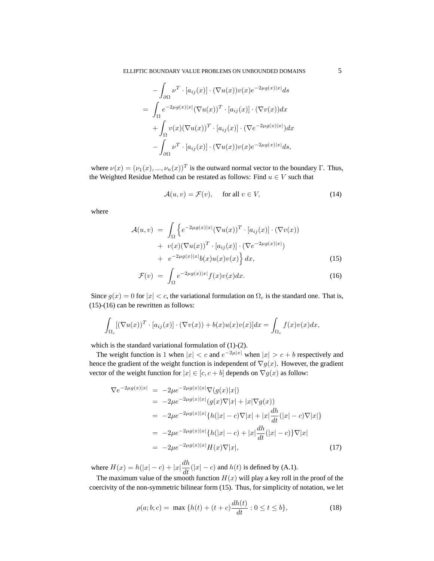$$
-\int_{\partial\Omega} \nu^T \cdot [a_{ij}(x)] \cdot (\nabla u(x))v(x)e^{-2\mu g(x)|x|} ds
$$
  
= 
$$
\int_{\Omega} e^{-2\mu g(x)|x|} (\nabla u(x))^T \cdot [a_{ij}(x)] \cdot (\nabla v(x)) dx
$$
  
+ 
$$
\int_{\Omega} v(x)(\nabla u(x))^T \cdot [a_{ij}(x)] \cdot (\nabla e^{-2\mu g(x)|x|}) dx
$$
  
- 
$$
\int_{\partial\Omega} \nu^T \cdot [a_{ij}(x)] \cdot (\nabla u(x))v(x)e^{-2\mu g(x)|x|} ds,
$$

where  $\nu(x) = (\nu_1(x), ..., \nu_n(x))^T$  is the outward normal vector to the boundary  $\Gamma$ . Thus, the Weighted Residue Method can be restated as follows: Find  $u \in V$  such that

$$
\mathcal{A}(u,v) = \mathcal{F}(v), \quad \text{ for all } v \in V,
$$
\n(14)

where

$$
\mathcal{A}(u,v) = \int_{\Omega} \left\{ e^{-2\mu g(x)|x|} (\nabla u(x))^T \cdot [a_{ij}(x)] \cdot (\nabla v(x)) + v(x)(\nabla u(x))^T \cdot [a_{ij}(x)] \cdot (\nabla e^{-2\mu g(x)|x|}) + e^{-2\mu g(x)|x|} b(x) u(x) v(x) \right\} dx,
$$
\n(15)

$$
\mathcal{F}(v) = \int_{\Omega} e^{-2\mu g(x)|x|} f(x)v(x)dx.
$$
 (16)

Since  $g(x) = 0$  for  $|x| < c$ , the variational formulation on  $\Omega_c$  is the standard one. That is, (15)-(16) can be rewritten as follows:

$$
\int_{\Omega_c} [(\nabla u(x))^T \cdot [a_{ij}(x)] \cdot (\nabla v(x)) + b(x)u(x)v(x)]dx = \int_{\Omega_c} f(x)v(x)dx,
$$

which is the standard variational formulation of (1)-(2).

The weight function is 1 when  $|x| < c$  and  $e^{-2\mu|x|}$  when  $|x| > c + b$  respectively and hence the gradient of the weight function is independent of  $\nabla g(x)$ . However, the gradient vector of the weight function for  $|x| \in [c, c + b]$  depends on  $\nabla g(x)$  as follow:

$$
\nabla e^{-2\mu g(x)|x|} = -2\mu e^{-2\mu g(x)|x|} \nabla(g(x)|x|)
$$
  
\n
$$
= -2\mu e^{-2\mu g(x)|x|} (g(x)\nabla|x| + |x|\nabla g(x))
$$
  
\n
$$
= -2\mu e^{-2\mu g(x)|x|} \{h(|x|-c)\nabla|x| + |x|\frac{dh}{dt}(|x|-c)\nabla|x|\}
$$
  
\n
$$
= -2\mu e^{-2\mu g(x)|x|} \{h(|x|-c) + |x|\frac{dh}{dt}(|x|-c)\} \nabla|x|
$$
  
\n
$$
= -2\mu e^{-2\mu g(x)|x|} H(x)\nabla|x|,
$$
\n(17)

where  $H(x) = h(|x| - c) + |x| \frac{dh}{dt}(|x| - c)$  and  $h(t)$  is defined by (A.1).

The maximum value of the smooth function  $H(x)$  will play a key roll in the proof of the coercivity of the non-symmetric bilinear form (15). Thus, for simplicity of notation, we let

$$
\rho(a; b; c) = \max \{ h(t) + (t + c) \frac{dh(t)}{dt} : 0 \le t \le b \},\tag{18}
$$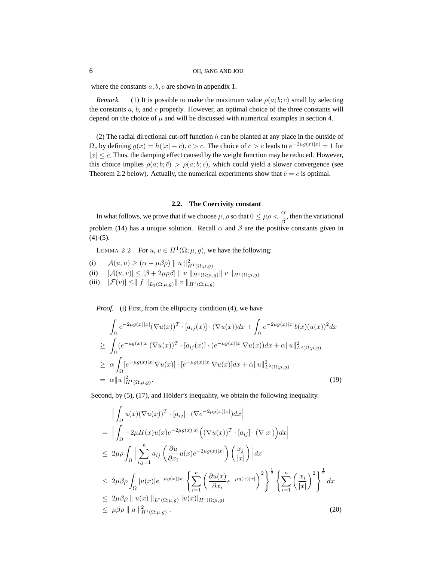where the constants  $a, b, c$  are shown in appendix 1.

*Remark.* (1) It is possible to make the maximum value  $\rho(a; b; c)$  small by selecting the constants  $a, b$ , and  $c$  properly. However, an optimal choice of the three constants will depend on the choice of  $\mu$  and will be discussed with numerical examples in section 4.

(2) The radial directional cut-off function  $h$  can be planted at any place in the outside of  $\Omega_c$  by defining  $g(x) = h(|x| - \bar{c}), \bar{c} > c$ . The choice of  $\bar{c} > c$  leads to  $e^{-2\mu g(x)|x|} = 1$  for  $|x| \leq \bar{c}$ . Thus, the damping effect caused by the weight function may be reduced. However, this choice implies  $\rho(a; b; \bar{c}) > \rho(a; b; c)$ , which could yield a slower convergence (see Theorem 2.2 below). Actually, the numerical experiments show that  $\bar{c} = c$  is optimal.

#### **2.2. The Coercivity constant**

In what follows, we prove that if we choose  $\mu$ ,  $\rho$  so that  $0 \leq \mu \rho < \frac{\alpha}{\beta}$  $\frac{\alpha}{\beta}$ , then the variational problem (14) has a unique solution. Recall  $\alpha$  and  $\beta$  are the positive constants given in  $(4)-(5)$ .

LEMMA 2.2. For  $u, v \in H^1(\Omega; \mu, g)$ , we have the following:

(i)  $\mathcal{A}(u, u) \geq (\alpha - \mu \beta \rho) || u ||_{H^1(\Omega; \mu, g)}^2$ (ii)  $|\mathcal{A}(u, v)| \leq [\beta + 2\mu \rho \beta] ||u||_{H^1(\Omega; \mu, g)} ||v||_{H^1(\Omega; \mu, g)}$ 

(iii)  $|\mathcal{F}(v)| \le || f ||_{L_2(\Omega;\mu,q)} || v ||_{H^1(\Omega;\mu,q)}$ 

*Proof.* (i) First, from the ellipticity condition (4), we have

$$
\int_{\Omega} e^{-2\mu g(x)|x|} (\nabla u(x))^T \cdot [a_{ij}(x)] \cdot (\nabla u(x)) dx + \int_{\Omega} e^{-2\mu g(x)|x|} b(x)(u(x))^2 dx
$$
\n
$$
\geq \int_{\Omega} (e^{-\mu g(x)|x|} (\nabla u(x))^T \cdot [a_{ij}(x)] \cdot (e^{-\mu g(x)|x|} \nabla u(x)) dx + \alpha ||u||_{L^2(\Omega; \mu, g)}^2
$$
\n
$$
\geq \alpha \int_{\Omega} [e^{-\mu g(x)|x|} \nabla u(x)] \cdot [e^{-\mu g(x)|x|} \nabla u(x)] dx + \alpha ||u||_{L^2(\Omega; \mu, g)}^2
$$
\n
$$
= \alpha ||u||_{H^1(\Omega; \mu, g)}^2.
$$
\n(19)

Second, by  $(5)$ ,  $(17)$ , and Hölder's inequality, we obtain the following inequality.

$$
\begin{split}\n&\left| \int_{\Omega} u(x) (\nabla u(x))^{T} \cdot [a_{ij}] \cdot (\nabla e^{-2\mu g(x)|x|}) dx \right| \\
&= \left| \int_{\Omega} -2\mu H(x) u(x) e^{-2\mu g(x)|x|} \left( (\nabla u(x))^{T} \cdot [a_{ij}] \cdot (\nabla |x|) \right) dx \right| \\
&\leq 2\mu \rho \int_{\Omega} \left| \sum_{i,j=1}^{n} a_{ij} \left( \frac{\partial u}{\partial x_{i}} u(x) e^{-2\mu g(x)|x|} \right) \left( \frac{x_{j}}{|x|} \right) \right| dx \\
&\leq 2\mu \beta \rho \int_{\Omega} |u(x)| e^{-\mu g(x)|x|} \left\{ \sum_{i=1}^{n} \left( \frac{\partial u(x)}{\partial x_{i}} e^{-\mu g(x)|x|} \right)^{2} \right\}^{\frac{1}{2}} \left\{ \sum_{i=1}^{n} \left( \frac{x_{i}}{|x|} \right)^{2} \right\}^{\frac{1}{2}} dx \\
&\leq 2\mu \beta \rho \parallel u(x) \parallel_{L^{2}(\Omega; \mu, g)} |u(x)|_{H^{1}(\Omega; \mu, g)}\n\leq \mu \beta \rho \parallel u \parallel_{H^{1}(\Omega; \mu, g)}^{2}.\n\end{split}
$$
\n(20)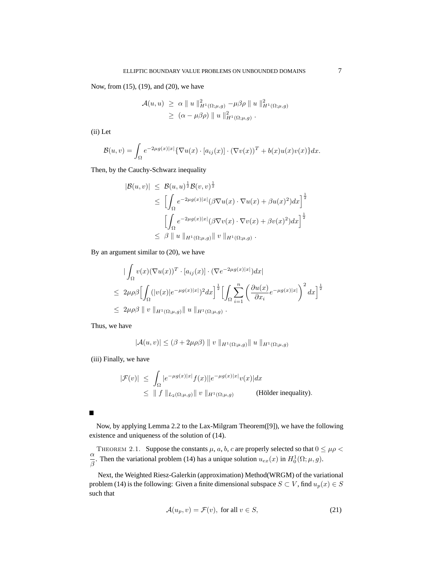Now, from (15), (19), and (20), we have

$$
\mathcal{A}(u, u) \geq \alpha \parallel u \parallel_{H^1(\Omega; \mu, g)}^2 -\mu \beta \rho \parallel u \parallel_{H^1(\Omega; \mu, g)}^2
$$
  
 
$$
\geq (\alpha - \mu \beta \rho) \parallel u \parallel_{H^1(\Omega; \mu, g)}^2.
$$

(ii) Let

$$
\mathcal{B}(u,v) = \int_{\Omega} e^{-2\mu g(x)|x|} {\{\nabla u(x) \cdot [a_{ij}(x)] \cdot (\nabla v(x))^T + b(x)u(x)v(x)\}dx}.
$$

Then, by the Cauchy-Schwarz inequality

$$
|\mathcal{B}(u,v)| \leq \mathcal{B}(u,u)^{\frac{1}{2}} \mathcal{B}(v,v)^{\frac{1}{2}}
$$
  
\n
$$
\leq \left[ \int_{\Omega} e^{-2\mu g(x)|x|} (\beta \nabla u(x) \cdot \nabla u(x) + \beta u(x)^{2}) dx \right]^{\frac{1}{2}}
$$
  
\n
$$
\left[ \int_{\Omega} e^{-2\mu g(x)|x|} (\beta \nabla v(x) \cdot \nabla v(x) + \beta v(x)^{2}) dx \right]^{\frac{1}{2}}
$$
  
\n
$$
\leq \beta \parallel u \parallel_{H^{1}(\Omega;\mu,g)} \parallel v \parallel_{H^{1}(\Omega;\mu,g)}.
$$

By an argument similar to (20), we have

$$
\begin{split}\n& \left| \int_{\Omega} v(x) (\nabla u(x))^T \cdot [a_{ij}(x)] \cdot (\nabla e^{-2\mu g(x)|x|}) dx \right| \\
&\leq 2\mu \rho \beta \left[ \int_{\Omega} (|v(x)|e^{-\mu g(x)|x|})^2 dx \right]^{\frac{1}{2}} \left[ \int_{\Omega} \sum_{i=1}^n \left( \frac{\partial u(x)}{\partial x_i} e^{-\mu g(x)|x|} \right)^2 dx \right]^{\frac{1}{2}} \\
&\leq 2\mu \rho \beta \parallel v \parallel_{H^1(\Omega; \mu, g)} \parallel u \parallel_{H^1(\Omega; \mu, g)}.\n\end{split}
$$

Thus, we have

$$
|\mathcal{A}(u,v)| \leq (\beta + 2\mu \rho \beta) \parallel v \parallel_{H^1(\Omega;\mu,g)} \parallel u \parallel_{H^1(\Omega;\mu,g)}
$$

(iii) Finally, we have

$$
\begin{aligned} |\mathcal{F}(v)| &\leq \int_{\Omega} |e^{-\mu g(x)|x|} f(x)| |e^{-\mu g(x)|x|} v(x)| dx \\ &\leq \|f\|_{L_2(\Omega;\mu,g)} \|v\|_{H^1(\Omega;\mu,g)} \end{aligned} \tag{Hölder inequality)}.
$$

Now, by applying Lemma 2.2 to the Lax-Milgram Theorem([9]), we have the following existence and uniqueness of the solution of (14).

THEOREM 2.1. Suppose the constants  $\mu$ ,  $a$ ,  $b$ ,  $c$  are properly selected so that  $0 \leq \mu \rho$ α  $\frac{\alpha}{\beta}$ . Then the variational problem (14) has a unique solution  $u_{ex}(x)$  in  $H_0^1(\Omega;\mu,g)$ .

Next, the Weighted Riesz-Galerkin (approximation) Method(WRGM) of the variational problem (14) is the following: Given a finite dimensional subspace  $S \subset V$ , find  $u_p(x) \in S$ such that

$$
\mathcal{A}(u_p, v) = \mathcal{F}(v), \text{ for all } v \in S,
$$
\n(21)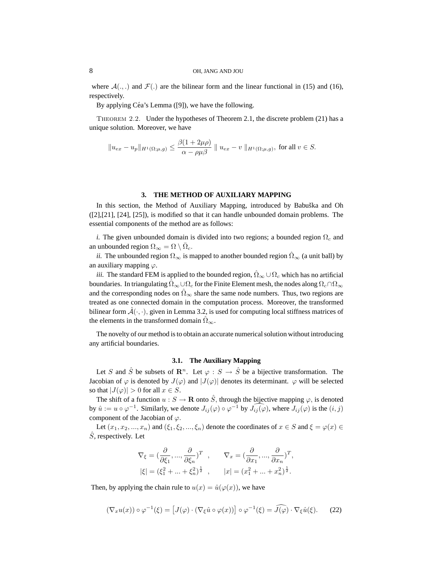where  $\mathcal{A}(\cdot, \cdot)$  and  $\mathcal{F}(\cdot)$  are the bilinear form and the linear functional in (15) and (16), respectively.

By applying Céa's Lemma  $([9])$ , we have the following.

Theorem 2.2. Under the hypotheses of Theorem 2.1, the discrete problem (21) has a unique solution. Moreover, we have

$$
||u_{ex}-u_p||_{H^1(\Omega;\mu,g)} \leq \frac{\beta(1+2\mu\rho)}{\alpha-\rho\mu\beta} || u_{ex}-v ||_{H^1(\Omega;\mu,g)},
$$
 for all  $v \in S$ .

#### **3. THE METHOD OF AUXILIARY MAPPING**

In this section, the Method of Auxiliary Mapping, introduced by Babuška and Oh ([2],[21], [24], [25]), is modified so that it can handle unbounded domain problems. The essential components of the method are as follows:

*i.* The given unbounded domain is divided into two regions; a bounded region  $\Omega_c$  and an unbounded region  $\Omega_{\infty} = \Omega \setminus \overline{\Omega}_c$ .

*ii.* The unbounded region  $\Omega_{\infty}$  is mapped to another bounded region  $\Omega_{\infty}$  (a unit ball) by an auxiliary mapping  $\varphi$ .

*iii.* The standard FEM is applied to the bounded region,  $\hat{\Omega}_{\infty} \cup \Omega_c$  which has no artificial boundaries. In triangulating  $\Omega_{\infty}\cup\Omega_c$  for the Finite Element mesh, the nodes along  $\Omega_c\cap\Omega_{\infty}$ and the corresponding nodes on  $\Omega_{\infty}$  share the same node numbers. Thus, two regions are treated as one connected domain in the computation process. Moreover, the transformed bilinear form  $\mathcal{A}(\cdot, \cdot)$ , given in Lemma 3.2, is used for computing local stiffness matrices of the elements in the transformed domain  $\hat{\Omega}_{\infty}$ .

The novelty of our method is to obtain an accurate numerical solution without introducing any artificial boundaries.

### **3.1. The Auxiliary Mapping**

Let S and  $\hat{S}$  be subsets of  $\mathbb{R}^n$ . Let  $\varphi : S \to \hat{S}$  be a bijective transformation. The Jacobian of  $\varphi$  is denoted by  $J(\varphi)$  and  $|J(\varphi)|$  denotes its determinant.  $\varphi$  will be selected so that  $|J(\varphi)| > 0$  for all  $x \in S$ .

The shift of a function  $u : S \to \mathbf{R}$  onto  $\hat{S}$ , through the bijective mapping  $\varphi$ , is denoted by  $\hat{u} := u \circ \varphi^{-1}$ . Similarly, we denote  $J_{ij}(\varphi) \circ \varphi^{-1}$  by  $J_{ij}(\varphi)$ , where  $J_{ij}(\varphi)$  is the  $(i, j)$ component of the Jacobian of  $\varphi$ .

Let  $(x_1, x_2, ..., x_n)$  and  $(\xi_1, \xi_2, ..., \xi_n)$  denote the coordinates of  $x \in S$  and  $\xi = \varphi(x) \in$  $\hat{S}$ , respectively. Let

$$
\nabla_{\xi} = \left(\frac{\partial}{\partial \xi_1}, \dots, \frac{\partial}{\partial \xi_n}\right)^T, \qquad \nabla_x = \left(\frac{\partial}{\partial x_1}, \dots, \frac{\partial}{\partial x_n}\right)^T,
$$
  

$$
|\xi| = (\xi_1^2 + \dots + \xi_n^2)^{\frac{1}{2}}, \qquad |x| = (x_1^2 + \dots + x_n^2)^{\frac{1}{2}}.
$$

Then, by applying the chain rule to  $u(x) = \hat{u}(\varphi(x))$ , we have

$$
(\nabla_x u(x)) \circ \varphi^{-1}(\xi) = [J(\varphi) \cdot (\nabla_{\xi} \hat{u} \circ \varphi(x))] \circ \varphi^{-1}(\xi) = \widehat{J(\varphi)} \cdot \nabla_{\xi} \hat{u}(\xi). \tag{22}
$$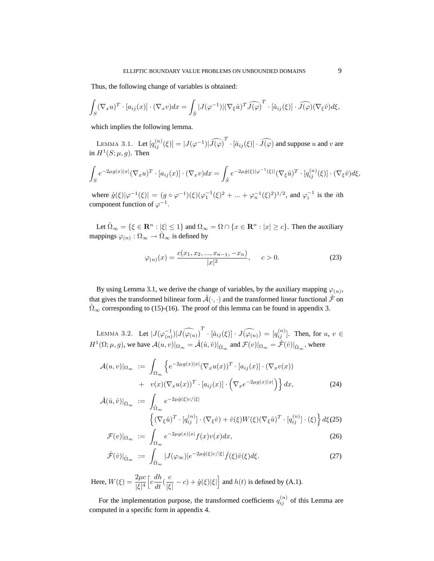Thus, the following change of variables is obtained:

$$
\int_{S} (\nabla_x u)^T \cdot [a_{ij}(x)] \cdot (\nabla_x v) dx = \int_{\hat{S}} |J(\varphi^{-1})| (\nabla_{\xi} \hat{u})^T \widehat{J(\varphi)}^T \cdot [\hat{a}_{ij}(\xi)] \cdot \widehat{J(\varphi)} (\nabla_{\xi} \hat{v}) d\xi,
$$

which implies the following lemma.

LEMMA 3.1. Let  $[q_{ij}^{(n)}(\xi)] = |J(\varphi^{-1})|\widehat{J(\varphi)}^T \cdot [\hat{a}_{ij}(\xi)] \cdot \widehat{J(\varphi)}$  and suppose u and v are in  $H^1(S; \mu, g)$ . Then

$$
\int_{S} e^{-2\mu g(x)|x|} (\nabla_x u)^T \cdot [a_{ij}(x)] \cdot (\nabla_x v) dx = \int_{\hat{S}} e^{-2\mu \hat{g}(\xi)|\varphi^{-1}(\xi)|} (\nabla_{\xi} \hat{u})^T \cdot [q_{ij}^{(n)}(\xi)] \cdot (\nabla_{\xi} \hat{v}) d\xi,
$$

where  $\hat{g}(\xi)|\varphi^{-1}(\xi)| = (g \circ \varphi^{-1})(\xi)(\varphi_1^{-1}(\xi)^2 + ... + \varphi_n^{-1}(\xi)^2)^{1/2}$ , and  $\varphi_i^{-1}$  is the *i*th component function of  $\varphi^{-1}$ .

Let  $\hat{\Omega}_{\infty} = \{\xi \in \mathbb{R}^n : |\xi| \leq 1\}$  and  $\Omega_{\infty} = \Omega \cap \{x \in \mathbb{R}^n : |x| \geq c\}$ . Then the auxiliary mappings  $\varphi(n): \Omega_{\infty} \to \hat{\Omega}_{\infty}$  is defined by

$$
\varphi_{(n)}(x) = \frac{c(x_1, x_2, ..., x_{n-1}, -x_n)}{|x|^2}, \qquad c > 0.
$$
\n(23)

By using Lemma 3.1, we derive the change of variables, by the auxiliary mapping  $\varphi_{(n)}$ , that gives the transformed bilinear form  $\hat{A}(\cdot, \cdot)$  and the transformed linear functional  $\hat{\mathcal{F}}$  on  $\hat{\Omega}_{\infty}$  corresponding to (15)-(16). The proof of this lemma can be found in appendix 3.

LEMMA 3.2. Let  $|J(\varphi_{(n)}^{-1})| \widehat{J(\varphi_{(n)})}^T \cdot [\hat{a}_{ij}(\xi)] \cdot \widehat{J(\varphi_{(n)})} = [q_{ij}^{(n)}]$ . Then, for  $u, v \in$  $H^1(\Omega;\mu,g)$ , we have  $\mathcal{A}(u,v)|_{\Omega_{\infty}} = \hat{\mathcal{A}}(\hat{u},\hat{v})|_{\hat{\Omega}_{\infty}}$  and  $\mathcal{F}(v)|_{\Omega_{\infty}} = \hat{\mathcal{F}}(\hat{v})|_{\hat{\Omega}_{\infty}}$ , where

$$
\mathcal{A}(u,v)|_{\Omega_{\infty}} := \int_{\Omega_{\infty}} \left\{ e^{-2\mu g(x)|x|} (\nabla_x u(x))^T \cdot [a_{ij}(x)] \cdot (\nabla_x v(x)) + v(x) (\nabla_x u(x))^T \cdot [a_{ij}(x)] \cdot \left( \nabla_x e^{-2\mu g(x)|x|} \right) \right\} dx,
$$
\n(24)

$$
\hat{\mathcal{A}}(\hat{u},\hat{v})|_{\hat{\Omega}_{\infty}} := \int_{\hat{\Omega}_{\infty}} e^{-2\mu \hat{g}(\xi)c/|\xi|} \left\{ (\nabla_{\xi}\hat{u})^T \cdot [q_{ij}^{(n)}] \cdot (\nabla_{\xi}\hat{v}) + \hat{v}(\xi)W(\xi)(\nabla_{\xi}\hat{u})^T \cdot [q_{ij}^{(n)}] \cdot (\xi) \right\} d\xi(25)
$$

$$
\mathcal{F}(v)|_{\Omega_{\infty}} := \int_{\Omega_{\infty}} e^{-2\mu g(x)|x|} f(x)v(x)dx,
$$
\n(26)

$$
\hat{\mathcal{F}}(\hat{v})|_{\hat{\Omega}_{\infty}} := \int_{\hat{\Omega}_{\infty}} |J(\varphi_{\infty})| e^{-2\mu \hat{g}(\xi)c/|\xi|} \hat{f}(\xi) \hat{v}(\xi) d\xi.
$$
\n(27)

Here,  $W(\xi) = \frac{2\mu c}{\xi |A|}$ |ξ| 4  $\left[c\frac{dh}{dt}(\frac{c}{|\xi}$  $\frac{c}{|\xi|} - c$ ) +  $\hat{g}(\xi)|\xi|$  and  $h(t)$  is defined by (A.1).

For the implementation purpose, the transformed coefficients  $q_{ij}^{(n)}$  of this Lemma are computed in a specific form in appendix 4.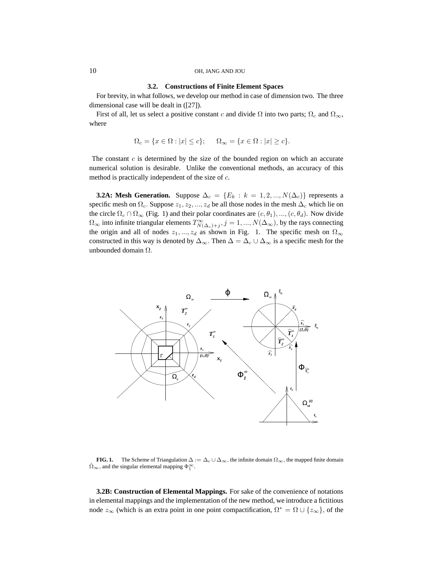#### **3.2. Constructions of Finite Element Spaces**

For brevity, in what follows, we develop our method in case of dimension two. The three dimensional case will be dealt in ([27]).

First of all, let us select a positive constant c and divide  $\Omega$  into two parts;  $\Omega_c$  and  $\Omega_{\infty}$ , where

$$
\Omega_c = \{ x \in \Omega : |x| \le c \}; \qquad \Omega_{\infty} = \{ x \in \Omega : |x| \ge c \}.
$$

The constant  $c$  is determined by the size of the bounded region on which an accurate numerical solution is desirable. Unlike the conventional methods, an accuracy of this method is practically independent of the size of  $c$ .

**3.2A: Mesh Generation.** Suppose  $\Delta_c = \{E_k : k = 1, 2, ..., N(\Delta_c)\}\)$  represents a specific mesh on  $\Omega_c$ . Suppose  $z_1, z_2, ..., z_d$  be all those nodes in the mesh  $\Delta_c$  which lie on the circle  $\Omega_c \cap \Omega_\infty$  (Fig. 1) and their polar coordinates are  $(c, \theta_1), ..., (c, \theta_d)$ . Now divide  $\Omega_\infty$  into infinite triangular elements  $T^\infty_{N(\Delta_c)+j}, j=1,...,N(\Delta_\infty) ,$  by the rays connecting the origin and all of nodes  $z_1, ..., z_d$  as shown in Fig. 1. The specific mesh on  $\Omega_{\infty}$ constructed in this way is denoted by  $\Delta_{\infty}$ . Then  $\Delta = \Delta_c \cup \Delta_{\infty}$  is a specific mesh for the unbounded domain Ω.



**FIG. 1.** The Scheme of Triangulation  $\Delta := \Delta_c \cup \Delta_{\infty}$ , the infinite domain  $\Omega_{\infty}$ , the mapped finite domain  $\hat{\Omega}_{\infty}$ , and the singular elemental mapping  $\Phi_{1}^{\infty}$ .

**3.2B: Construction of Elemental Mappings.** For sake of the convenience of notations in elemental mappings and the implementation of the new method, we introduce a fictitious node  $z_{\infty}$  (which is an extra point in one point compactification,  $\Omega^* = \Omega \cup \{z_{\infty}\}\)$ , of the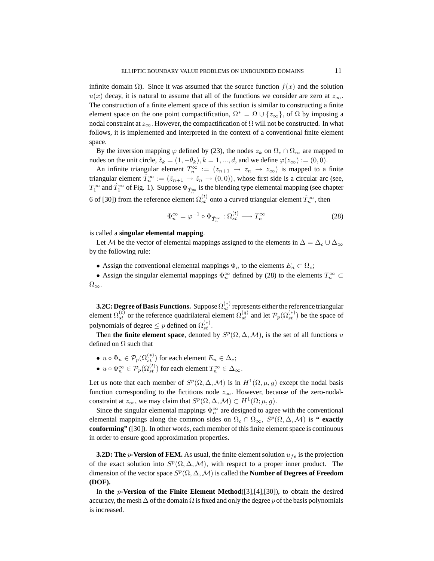infinite domain  $\Omega$ ). Since it was assumed that the source function  $f(x)$  and the solution  $u(x)$  decay, it is natural to assume that all of the functions we consider are zero at  $z_{\infty}$ . The construction of a finite element space of this section is similar to constructing a finite element space on the one point compactification,  $\Omega^* = \Omega \cup \{z_\infty\}$ , of  $\Omega$  by imposing a nodal constraint at  $z_{\infty}$ . However, the compactification of  $\Omega$  will not be constructed. In what follows, it is implemented and interpreted in the context of a conventional finite element space.

By the inversion mapping  $\varphi$  defined by (23), the nodes  $z_k$  on  $\Omega_c \cap \Omega_\infty$  are mapped to nodes on the unit circle,  $\hat{z}_k = (1, -\theta_k)$ ,  $k = 1, ..., d$ , and we define  $\varphi(z_\infty) := (0, 0)$ .

An infinite triangular element  $T_n^{\infty} := (z_{n+1} \to z_n \to z_{\infty})$  is mapped to a finite triangular element  $\hat{T}_n^{\infty} := (\hat{z}_{n+1} \to \hat{z}_n \to (0,0)),$  whose first side is a circular arc (see,  $T_1^{\infty}$  and  $\hat{T}_1^{\infty}$  of Fig. 1). Suppose  $\Phi_{\hat{T}_n^{\infty}}$  is the blending type elemental mapping (see chapter 6 of [30]) from the reference element  $\Omega_{st}^{(t)}$  onto a curved triangular element  $\hat{T}_n^{\infty}$ , then

$$
\Phi_n^{\infty} = \varphi^{-1} \circ \Phi_{\hat{T}_n^{\infty}} : \Omega_{st}^{(t)} \longrightarrow T_n^{\infty}
$$
 (28)

is called a **singular elemental mapping**.

Let M be the vector of elemental mappings assigned to the elements in  $\Delta = \Delta_c \cup \Delta_{\infty}$ by the following rule:

• Assign the conventional elemental mappings  $\Phi_n$  to the elements  $E_n \subset \Omega_c$ ;

• Assign the singular elemental mappings  $\Phi_n^{\infty}$  defined by (28) to the elements  $T_n^{\infty} \subset$  $\Omega_{\infty}$ .

**3.2C: Degree of Basis Functions.** Suppose  $\Omega_{st}^{(*)}$  represents either the reference triangular element  $\Omega_{st}^{(t)}$  or the reference quadrilateral element  $\Omega_{st}^{(q)}$  and let  $\mathcal{P}_p(\Omega_{st}^{(*)})$  be the space of polynomials of degree  $\leq p$  defined on  $\Omega_{st}^{(*)}$ .

Then **the finite element space**, denoted by  $S^p(\Omega, \Delta, \mathcal{M})$ , is the set of all functions u defined on  $\Omega$  such that

•  $u \circ \Phi_n \in \mathcal{P}_p(\Omega^{(*)}_{st})$  for each element  $E_n \in \Delta_c$ ; •  $u \circ \Phi_n^{\infty} \in \mathcal{P}_p(\Omega_{st}^{(t)})$  for each element  $T_n^{\infty} \in \Delta_{\infty}$ .

Let us note that each member of  $S^p(\Omega, \Delta, \mathcal{M})$  is in  $H^1(\Omega, \mu, g)$  except the nodal basis function corresponding to the fictitious node  $z_{\infty}$ . However, because of the zero-nodalconstraint at  $z_{\infty}$ , we may claim that  $S^p(\Omega, \Delta, \mathcal{M}) \subset H^1(\Omega; \mu, g)$ .

Since the singular elemental mappings  $\Phi_n^{\infty}$  are designed to agree with the conventional elemental mappings along the common sides on  $\Omega_c \cap \Omega_{\infty}$ ,  $S^p(\Omega, \Delta, \mathcal{M})$  is **" exactly conforming"** ([30]). In other words, each member of this finite element space is continuous in order to ensure good approximation properties.

**3.2D: The**  $p$ **-Version of FEM.** As usual, the finite element solution  $u_{fe}$  is the projection of the exact solution into  $S^p(\Omega, \Delta, \mathcal{M})$ , with respect to a proper inner product. The dimension of the vector space  $S^p(\Omega, \Delta, \mathcal{M})$  is called the **Number of Degrees of Freedom (DOF).**

In **the** p**-Version of the Finite Element Method**([3],[4],[30]), to obtain the desired accuracy, the mesh  $\Delta$  of the domain  $\Omega$  is fixed and only the degree p of the basis polynomials is increased.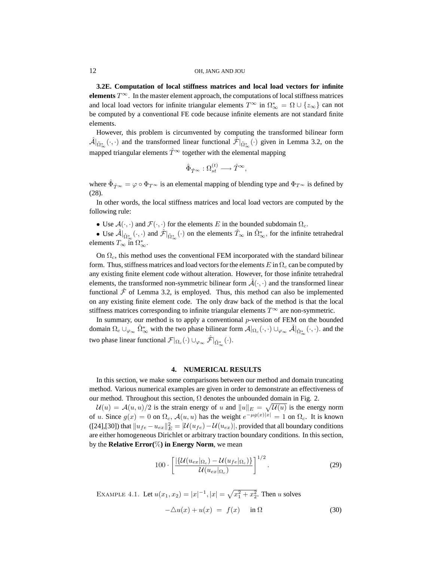**3.2E. Computation of local stiffness matrices and local load vectors for infinite elements**  $T^{\infty}$ . In the master element approach, the computations of local stiffness matrices and local load vectors for infinite triangular elements  $T^{\infty}$  in  $\Omega_{\infty}^{*} = \Omega \cup \{z_{\infty}\}\)$  can not be computed by a conventional FE code because infinite elements are not standard finite elements.

However, this problem is circumvented by computing the transformed bilinear form  $\hat{\mathcal{A}}|_{\hat{\Omega}^*_{\infty}}(\cdot,\cdot)$  and the transformed linear functional  $\hat{\mathcal{F}}|_{\hat{\Omega}^*_{\infty}}(\cdot)$  given in Lemma 3.2, on the mapped triangular elements  $\hat{T}^{\infty}$  together with the elemental mapping

$$
\hat{\Phi}_{\hat{T}^\infty}:\Omega_{st}^{(t)}\longrightarrow \hat{T}^\infty,
$$

where  $\hat{\Phi}_{\hat{T}^{\infty}} = \varphi \circ \Phi_{T^{\infty}}$  is an elemental mapping of blending type and  $\Phi_{T^{\infty}}$  is defined by (28).

In other words, the local stiffness matrices and local load vectors are computed by the following rule:

• Use  $\mathcal{A}(\cdot, \cdot)$  and  $\mathcal{F}(\cdot, \cdot)$  for the elements E in the bounded subdomain  $\Omega_c$ .

• Use  $\hat{\mathcal{A}}|_{\hat{\Omega}_{\infty}^{*}}(\cdot, \cdot)$  and  $\hat{\mathcal{F}}|_{\hat{\Omega}_{\infty}^{*}}(\cdot)$  on the elements  $\hat{T}_{\infty}$  in  $\hat{\Omega}_{\infty}^{*}$ , for the infinite tetrahedral elements  $T_{\infty}$  in  $\Omega_{\infty}^*$ .

On  $\Omega_c$ , this method uses the conventional FEM incorporated with the standard bilinear form. Thus, stiffness matrices and load vectors for the elements  $E$  in  $\Omega_c$  can be computed by any existing finite element code without alteration. However, for those infinite tetrahedral elements, the transformed non-symmetric bilinear form  $\mathcal{A}(\cdot, \cdot)$  and the transformed linear functional  $\hat{\mathcal{F}}$  of Lemma 3.2, is employed. Thus, this method can also be implemented on any existing finite element code. The only draw back of the method is that the local stiffness matrices corresponding to infinite triangular elements  $T^{\infty}$  are non-symmetric.

In summary, our method is to apply a conventional p-version of FEM on the bounded domain  $\Omega_c \cup_{\varphi_\infty} \hat{\Omega}_\infty^*$  with the two phase bilinear form  $\mathcal{A}|_{\Omega_c}(\cdot,\cdot) \cup_{\varphi_\infty} \hat{\mathcal{A}}|_{\hat{\Omega}_\infty^*}(\cdot,\cdot)$  and the two phase linear functional  $\mathcal{F}|_{\Omega_c}(\cdot) \cup_{\varphi_{\infty}} \hat{\mathcal{F}}|_{\hat{\Omega}_{\infty}^*}(\cdot)$ .

#### **4. NUMERICAL RESULTS**

In this section, we make some comparisons between our method and domain truncating method. Various numerical examples are given in order to demonstrate an effectiveness of our method. Throughout this section,  $\Omega$  denotes the unbounded domain in Fig. 2.

 $\mathcal{U}(u) = \mathcal{A}(u, u)/2$  is the strain energy of u and  $||u||_E = \sqrt{\mathcal{U}(u)}$  is the energy norm of u. Since  $g(x) = 0$  on  $\Omega_c$ ,  $\mathcal{A}(u, u)$  has the weight  $e^{-\mu g(x)|x|} = 1$  on  $\Omega_c$ . It is known ([24],[30]) that  $||u_{fe} - u_{ex}||_E^2 = |U(u_{fe}) - U(u_{ex})|$ , provided that all boundary conditions are either homogeneous Dirichlet or arbitrary traction boundary conditions. In this section, by the **Relative Error(**%**) in Energy Norm**, we mean

$$
100 \cdot \left[ \frac{\left| \{ \mathcal{U}(u_{ex} |_{\Omega_c}) - \mathcal{U}(u_{fe} |_{\Omega_c}) \} \right|^{1/2}}{\mathcal{U}(u_{ex} |_{\Omega_c})} \right]^{1/2}.
$$
 (29)

EXAMPLE 4.1. Let  $u(x_1, x_2) = |x|^{-1}$ ,  $|x| = \sqrt{x_1^2 + x_2^2}$ . Then u solves

$$
-\triangle u(x) + u(x) = f(x) \quad \text{in } \Omega \tag{30}
$$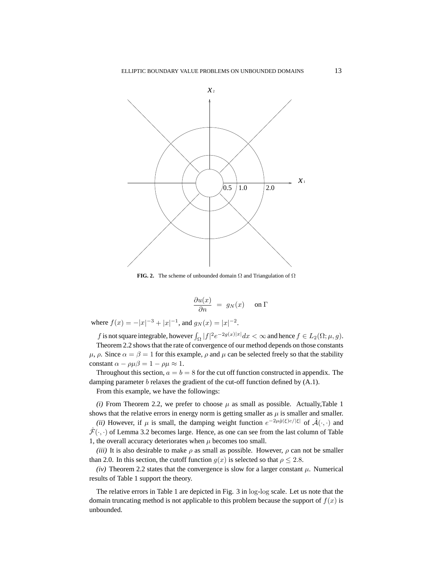

**FIG. 2.** The scheme of unbounded domain Ω and Triangulation of Ω

$$
\frac{\partial u(x)}{\partial n} = g_N(x) \quad \text{on } \Gamma
$$

where  $f(x) = -|x|^{-3} + |x|^{-1}$ , and  $g_N(x) = |x|^{-2}$ .

f is not square integrable, however  $\int_{\Omega} |f|^2 e^{-2g(x)|x|} dx < \infty$  and hence  $f \in L_2(\Omega; \mu, g)$ .

Theorem 2.2 shows that the rate of convergence of our method depends on those constants  $\mu$ ,  $\rho$ . Since  $\alpha = \beta = 1$  for this example,  $\rho$  and  $\mu$  can be selected freely so that the stability constant  $\alpha - \rho \mu \beta = 1 - \rho \mu \approx 1$ .

Throughout this section,  $a = b = 8$  for the cut off function constructed in appendix. The damping parameter *b* relaxes the gradient of the cut-off function defined by (A.1).

From this example, we have the followings:

*(i)* From Theorem 2.2, we prefer to choose  $\mu$  as small as possible. Actually,Table 1 shows that the relative errors in energy norm is getting smaller as  $\mu$  is smaller and smaller. (*ii*) However, if  $\mu$  is small, the damping weight function  $e^{-2\mu\hat{g}(\xi)c/|\xi|}$  of  $\hat{\mathcal{A}}(\cdot,\cdot)$  and

 $\hat{\mathcal{F}}(\cdot, \cdot)$  of Lemma 3.2 becomes large. Hence, as one can see from the last column of Table 1, the overall accuracy deteriorates when  $\mu$  becomes too small.

*(iii)* It is also desirable to make  $\rho$  as small as possible. However,  $\rho$  can not be smaller than 2.0. In this section, the cutoff function  $g(x)$  is selected so that  $\rho \leq 2.8$ .

*(iv)* Theorem 2.2 states that the convergence is slow for a larger constant  $\mu$ . Numerical results of Table 1 support the theory.

The relative errors in Table 1 are depicted in Fig. 3 in log-log scale. Let us note that the domain truncating method is not applicable to this problem because the support of  $f(x)$  is unbounded.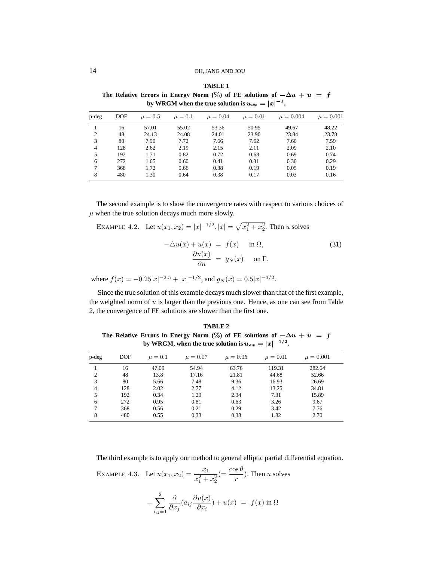**TABLE 1** The Relative Errors in Energy Norm (%) of FE solutions of  $-\Delta u + u = f$ by WRGM when the true solution is  $u_{ex} = |x|^{-1}$ .

| p-deg          | DOF | $\mu = 0.5$ | $\mu=0.1$ | $\mu = 0.04$ | $\mu = 0.01$ | $\mu = 0.004$ | $\mu = 0.001$ |
|----------------|-----|-------------|-----------|--------------|--------------|---------------|---------------|
|                | 16  | 57.01       | 55.02     | 53.36        | 50.95        | 49.67         | 48.22         |
| $\overline{c}$ | 48  | 24.13       | 24.08     | 24.01        | 23.90        | 23.84         | 23.78         |
| 3              | 80  | 7.90        | 7.72      | 7.66         | 7.62         | 7.60          | 7.59          |
| 4              | 128 | 2.62        | 2.19      | 2.15         | 2.11         | 2.09          | 2.10          |
| 5              | 192 | 1.71        | 0.82      | 0.72         | 0.68         | 0.69          | 0.74          |
| 6              | 272 | 1.65        | 0.60      | 0.41         | 0.31         | 0.30          | 0.29          |
|                | 368 | 1.72        | 0.66      | 0.38         | 0.19         | 0.05          | 0.19          |
| 8              | 480 | 1.30        | 0.64      | 0.38         | 0.17         | 0.03          | 0.16          |
|                |     |             |           |              |              |               |               |

The second example is to show the convergence rates with respect to various choices of  $\mu$  when the true solution decays much more slowly.

EXAMPLE 4.2. Let 
$$
u(x_1, x_2) = |x|^{-1/2}
$$
,  $|x| = \sqrt{x_1^2 + x_2^2}$ . Then *u* solves  
\n
$$
-\Delta u(x) + u(x) = f(x) \quad \text{in } \Omega,
$$
\n
$$
\frac{\partial u(x)}{\partial n} = g_N(x) \quad \text{on } \Gamma,
$$
\n(31)

where  $f(x) = -0.25|x|^{-2.5} + |x|^{-1/2}$ , and  $g_N(x) = 0.5|x|^{-3/2}$ .

Since the true solution of this example decays much slower than that of the first example, the weighted norm of  $u$  is larger than the previous one. Hence, as one can see from Table 2, the convergence of FE solutions are slower than the first one.

**TABLE 2** The Relative Errors in Energy Norm (%) of FE solutions of  $-\Delta u + u = f$ by WRGM, when the true solution is  $u_{ex} = |x|^{-1/2}$ .

|       | <b>DOF</b> |             |              |              |              |               |
|-------|------------|-------------|--------------|--------------|--------------|---------------|
| p-deg |            | $\mu = 0.1$ | $\mu = 0.07$ | $\mu = 0.05$ | $\mu = 0.01$ | $\mu = 0.001$ |
|       | 16         | 47.09       | 54.94        | 63.76        | 119.31       | 282.64        |
| 2     | 48         | 13.8        | 17.16        | 21.81        | 44.68        | 52.66         |
| 3     | 80         | 5.66        | 7.48         | 9.36         | 16.93        | 26.69         |
| 4     | 128        | 2.02        | 2.77         | 4.12         | 13.25        | 34.81         |
| 5     | 192        | 0.34        | 1.29         | 2.34         | 7.31         | 15.89         |
| 6     | 272        | 0.95        | 0.81         | 0.63         | 3.26         | 9.67          |
|       | 368        | 0.56        | 0.21         | 0.29         | 3.42         | 7.76          |
| 8     | 480        | 0.55        | 0.33         | 0.38         | 1.82         | 2.70          |

The third example is to apply our method to general elliptic partial differential equation.

EXAMPLE 4.3. Let  $u(x_1, x_2) = \frac{x_1}{x_1^2 + x_2^2}$  $(=\frac{\cos \theta}{r})$ . Then u solves

$$
-\sum_{i,j=1}^2 \frac{\partial}{\partial x_j} (a_{ij} \frac{\partial u(x)}{\partial x_i}) + u(x) = f(x) \text{ in } \Omega
$$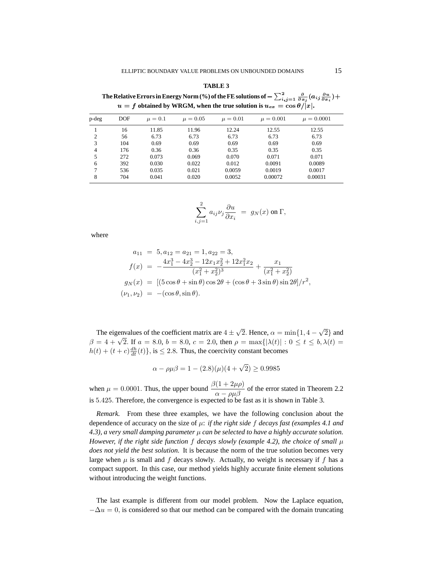**TABLE 3** The Relative Errors in Energy Norm (%) of the FE solutions of  $-\sum_{i,j=1}^2\frac{\partial}{\partial x_j}(a_{ij}\frac{\partial u}{\partial x_i})+$  $u = f$  obtained by WRGM, when the true solution is  $u_{ex} = \cos \theta / |x|$ .

| p-deg          | <b>DOF</b> | $\mu=0.1$ | $\mu = 0.05$ | $\mu = 0.01$ | $\mu = 0.001$ | $\mu = 0.0001$ |
|----------------|------------|-----------|--------------|--------------|---------------|----------------|
|                | 16         | 11.85     | 11.96        | 12.24        | 12.55         | 12.55          |
| $\overline{c}$ | 56         | 6.73      | 6.73         | 6.73         | 6.73          | 6.73           |
| 3              | 104        | 0.69      | 0.69         | 0.69         | 0.69          | 0.69           |
| 4              | 176        | 0.36      | 0.36         | 0.35         | 0.35          | 0.35           |
| 5              | 272        | 0.073     | 0.069        | 0.070        | 0.071         | 0.071          |
| 6              | 392        | 0.030     | 0.022        | 0.012        | 0.0091        | 0.0089         |
|                | 536        | 0.035     | 0.021        | 0.0059       | 0.0019        | 0.0017         |
| 8              | 704        | 0.041     | 0.020        | 0.0052       | 0.00072       | 0.00031        |

$$
\sum_{i,j=1}^2 a_{ij} \nu_j \frac{\partial u}{\partial x_i} = g_N(x) \text{ on } \Gamma,
$$

where

$$
a_{11} = 5, a_{12} = a_{21} = 1, a_{22} = 3,
$$
  
\n
$$
f(x) = -\frac{4x_1^3 - 4x_2^3 - 12x_1x_2^2 + 12x_1^2x_2}{(x_1^2 + x_2^2)^3} + \frac{x_1}{(x_1^2 + x_2^2)}
$$
  
\n
$$
g_N(x) = [(5\cos\theta + \sin\theta)\cos 2\theta + (\cos\theta + 3\sin\theta)\sin 2\theta]/r^2,
$$
  
\n
$$
(\nu_1, \nu_2) = -(\cos\theta, \sin\theta).
$$

The eigenvalues of the coefficient matrix are  $4 \pm \sqrt{2}$ . Hence,  $\alpha = \min\{1, 4 - \sqrt{2}\}\$ and  $\beta = 4 + \sqrt{2}$ . If  $a = 8.0, b = 8.0, c = 2.0$ , then  $\rho = \max\{|\lambda(t)| : 0 \le t \le b, \lambda(t) = 0\}$  $h(t) + (t + c) \frac{dh}{dt}(t)$ , is  $\leq 2.8$ . Thus, the coercivity constant becomes

$$
\alpha - \rho \mu \beta = 1 - (2.8)(\mu)(4 + \sqrt{2}) \ge 0.9985
$$

when  $\mu = 0.0001$ . Thus, the upper bound  $\frac{\beta(1+2\mu\rho)}{\alpha - \rho\mu\beta}$  of the error stated in Theorem 2.2 is 5.425. Therefore, the convergence is expected to be fast as it is shown in Table 3.

*Remark.* From these three examples, we have the following conclusion about the dependence of accuracy on the size of µ: *if the right side* f *decays fast (examples 4.1 and 4.3), a very small damping parameter* µ *can be selected to have a highly accurate solution. However, if the right side function* f *decays slowly (example 4.2), the choice of small*  $\mu$ *does not yield the best solution.* It is because the norm of the true solution becomes very large when  $\mu$  is small and f decays slowly. Actually, no weight is necessary if f has a compact support. In this case, our method yields highly accurate finite element solutions without introducing the weight functions.

The last example is different from our model problem. Now the Laplace equation,  $-\Delta u = 0$ , is considered so that our method can be compared with the domain truncating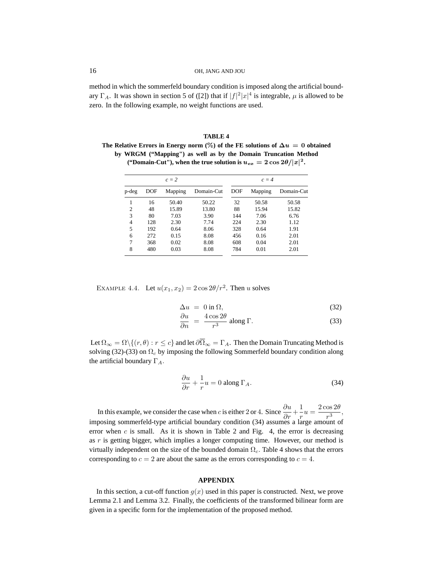method in which the sommerfeld boundary condition is imposed along the artificial boundary  $\Gamma_A$ . It was shown in section 5 of ([2]) that if  $|f|^2 |x|^4$  is integrable,  $\mu$  is allowed to be zero. In the following example, no weight functions are used.

| TABLE 4                                                                               |  |  |  |  |
|---------------------------------------------------------------------------------------|--|--|--|--|
| The Relative Errors in Energy norm (%) of the FE solutions of $\Delta u = 0$ obtained |  |  |  |  |
| by WRGM ("Mapping") as well as by the Domain Truncation Method                        |  |  |  |  |
| ("Domain-Cut"), when the true solution is $u_{ex} = 2 \cos 2\theta /  x ^2$ .         |  |  |  |  |

| $c=2$          |     |         |            |     | $c = 4$ |            |  |  |
|----------------|-----|---------|------------|-----|---------|------------|--|--|
| p-deg          | DOF | Mapping | Domain-Cut | DOF | Mapping | Domain-Cut |  |  |
| 1              | 16  | 50.40   | 50.22      | 32  | 50.58   | 50.58      |  |  |
| $\overline{c}$ | 48  | 15.89   | 13.80      | 88  | 15.94   | 15.82      |  |  |
| 3              | 80  | 7.03    | 3.90       | 144 | 7.06    | 6.76       |  |  |
| $\overline{4}$ | 128 | 2.30    | 7.74       | 224 | 2.30    | 1.12       |  |  |
| 5              | 192 | 0.64    | 8.06       | 328 | 0.64    | 1.91       |  |  |
| 6              | 272 | 0.15    | 8.08       | 456 | 0.16    | 2.01       |  |  |
| 7              | 368 | 0.02    | 8.08       | 608 | 0.04    | 2.01       |  |  |
| 8              | 480 | 0.03    | 8.08       | 784 | 0.01    | 2.01       |  |  |

EXAMPLE 4.4. Let  $u(x_1, x_2) = 2 \cos 2\theta/r^2$ . Then u solves

$$
\Delta u = 0 \text{ in } \Omega,\tag{32}
$$

$$
\frac{\partial u}{\partial n} = \frac{4\cos 2\theta}{r^3} \text{ along } \Gamma.
$$
 (33)

Let  $\Omega_{\infty} = \Omega \setminus \{(r, \theta) : r \leq c\}$  and let  $\partial \overline{\Omega}_{\infty} = \Gamma_A$ . Then the Domain Truncating Method is solving (32)-(33) on  $\Omega_c$  by imposing the following Sommerfeld boundary condition along the artificial boundary  $\Gamma_A$ .

$$
\frac{\partial u}{\partial r} + \frac{1}{r}u = 0 \text{ along } \Gamma_A. \tag{34}
$$

In this example, we consider the case when c is either 2 or 4. Since  $\frac{\partial u}{\partial r} + \frac{1}{r}$  $\frac{1}{r}u = \frac{2\cos 2\theta}{r^3}$  $\frac{1}{r^3},$ imposing sommerfeld-type artificial boundary condition (34) assumes a large amount of error when  $c$  is small. As it is shown in Table 2 and Fig. 4, the error is decreasing as  $r$  is getting bigger, which implies a longer computing time. However, our method is virtually independent on the size of the bounded domain  $\Omega_c$ . Table 4 shows that the errors corresponding to  $c = 2$  are about the same as the errors corresponding to  $c = 4$ .

#### **APPENDIX**

In this section, a cut-off function  $g(x)$  used in this paper is constructed. Next, we prove Lemma 2.1 and Lemma 3.2. Finally, the coefficients of the transformed bilinear form are given in a specific form for the implementation of the proposed method.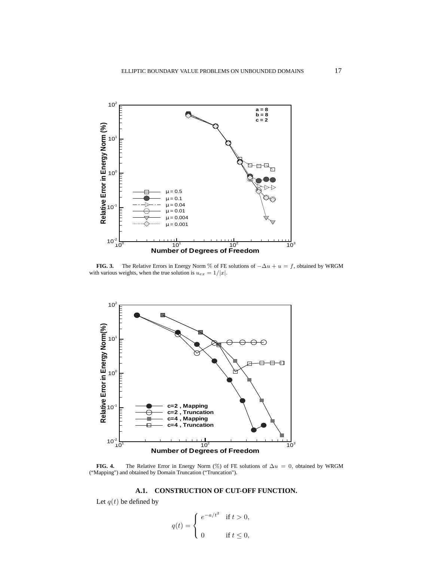

**FIG. 3.** The Relative Errors in Energy Norm % of FE solutions of  $-\Delta u + u = f$ , obtained by WRGM with various weights, when the true solution is  $u_{ex} = 1/|x|$ .



**FIG. 4.** The Relative Error in Energy Norm (%) of FE solutions of  $\Delta u = 0$ , obtained by WRGM ("Mapping") and obtained by Domain Truncation ("Truncation").

# **A.1. CONSTRUCTION OF CUT-OFF FUNCTION.**

Let  $q(t)$  be defined by

$$
q(t) = \begin{cases} e^{-a/t^2} & \text{if } t > 0, \\ 0 & \text{if } t \le 0, \end{cases}
$$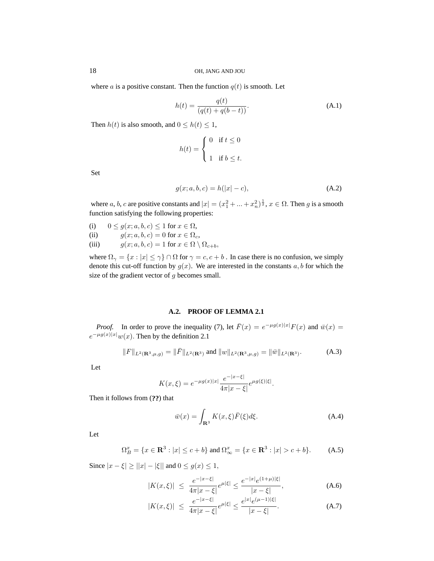where a is a positive constant. Then the function  $q(t)$  is smooth. Let

$$
h(t) = \frac{q(t)}{(q(t) + q(b - t))}.
$$
 (A.1)

Then  $h(t)$  is also smooth, and  $0 \leq h(t) \leq 1$ ,

$$
h(t) = \begin{cases} 0 & \text{if } t \leq 0 \\ 1 & \text{if } b \leq t. \end{cases}
$$

Set

$$
g(x; a, b, c) = h(|x| - c),
$$
 (A.2)

where a, b, c are positive constants and  $|x| = (x_1^2 + ... + x_n^2)^{\frac{1}{2}}$ ,  $x \in \Omega$ . Then g is a smooth function satisfying the following properties:

- 
- (i)  $0 \le g(x; a, b, c) \le 1$  for  $x \in \Omega$ ,<br>
(ii)  $q(x; a, b, c) = 0$  for  $x \in \Omega$ , (ii)  $g(x; a, b, c) = 0$  for  $x \in \Omega_c$ ,<br>
(iii)  $g(x; a, b, c) = 1$  for  $x \in \Omega \setminus \Omega$
- $g(x; a, b, c) = 1$  for  $x \in \Omega \setminus \Omega_{c+b}$ ,

where  $\Omega_{\gamma} = \{x : |x| \leq \gamma\} \cap \Omega$  for  $\gamma = c, c + b$ . In case there is no confusion, we simply denote this cut-off function by  $g(x)$ . We are interested in the constants a, b for which the size of the gradient vector of  $g$  becomes small.

#### **A.2. PROOF OF LEMMA 2.1**

*Proof.* In order to prove the inequality (7), let  $\bar{F}(x) = e^{-\mu g(x)|x|} F(x)$  and  $\bar{w}(x) =$  $e^{-\mu g(x)|x|}w(x)$ . Then by the definition 2.1

$$
||F||_{L^{2}(\mathbf{R}^{3},\mu,g)} = ||\bar{F}||_{L^{2}(\mathbf{R}^{3})} \text{ and } ||w||_{L^{2}(\mathbf{R}^{3},\mu,g)} = ||\bar{w}||_{L^{2}(\mathbf{R}^{3})}. \tag{A.3}
$$

Let

$$
K(x,\xi) = e^{-\mu g(x)|x|} \frac{e^{-|x-\xi|}}{4\pi|x-\xi|} e^{\mu g(\xi)|\xi|}.
$$

Then it follows from (**??**) that

$$
\bar{w}(x) = \int_{\mathbf{R}^3} K(x,\xi)\bar{F}(\xi)d\xi.
$$
 (A.4)

Let

$$
\Omega_B^x = \{ x \in \mathbf{R}^3 : |x| \le c + b \} \text{ and } \Omega_\infty^x = \{ x \in \mathbf{R}^3 : |x| > c + b \}. \tag{A.5}
$$

Since  $|x - \xi| \ge ||x| - |\xi||$  and  $0 \le g(x) \le 1$ ,

$$
|K(x,\xi)| \le \frac{e^{-|x-\xi|}}{4\pi|x-\xi|}e^{\mu|\xi|} \le \frac{e^{-|x|}e^{(1+\mu)|\xi|}}{|x-\xi|},
$$
\n(A.6)

$$
|K(x,\xi)| \le \frac{e^{-|x-\xi|}}{4\pi|x-\xi|}e^{\mu|\xi|} \le \frac{e^{|x|}e^{(\mu-1)|\xi|}}{|x-\xi|}.
$$
 (A.7)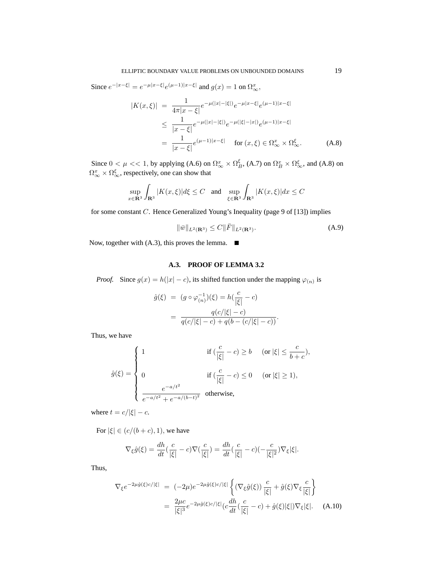Since  $e^{-|x-\xi|} = e^{-\mu|x-\xi|} e^{(\mu-1)|x-\xi|}$  and  $g(x) = 1$  on  $\Omega_{\infty}^x$ ,

$$
|K(x,\xi)| = \frac{1}{4\pi|x-\xi|}e^{-\mu(|x|-|\xi|)}e^{-\mu|x-\xi|}e^{(\mu-1)|x-\xi|}
$$
  
\n
$$
\leq \frac{1}{|x-\xi|}e^{-\mu(|x|-|\xi|)}e^{-\mu(|\xi|-|x|)}e^{(\mu-1)|x-\xi|}
$$
  
\n
$$
= \frac{1}{|x-\xi|}e^{(\mu-1)|x-\xi|} \quad \text{for } (x,\xi) \in \Omega_{\infty}^x \times \Omega_{\infty}^{\xi}.
$$
 (A.8)

Since  $0 < \mu < 1$ , by applying (A.6) on  $\Omega_{\infty}^{x} \times \Omega_{B}^{\xi}$ , (A.7) on  $\Omega_{B}^{x} \times \Omega_{\infty}^{\xi}$ , and (A.8) on  $\Omega_{\infty}^{x} \times \Omega_{\infty}^{\xi}$ , respectively, one can show that

$$
\sup_{x\in\mathbf{R}^3}\int_{\mathbf{R}^3}|K(x,\xi)|d\xi\leq C\quad\text{and}\quad \sup_{\xi\in\mathbf{R}^3}\int_{\mathbf{R}^3}|K(x,\xi)|dx\leq C
$$

for some constant C. Hence Generalized Young's Inequality (page 9 of [13]) implies

$$
\|\bar{w}\|_{L^2(\mathbf{R}^3)} \le C \|\bar{F}\|_{L^2(\mathbf{R}^3)}.
$$
\n(A.9)

Now, together with  $(A.3)$ , this proves the lemma.  $\blacksquare$ 

# **A.3. PROOF OF LEMMA 3.2**

*Proof.* Since  $g(x) = h(|x| - c)$ , its shifted function under the mapping  $\varphi_{(n)}$  is

$$
\hat{g}(\xi) = (g \circ \varphi_{(n)}^{-1})(\xi) = h(\frac{c}{|\xi|} - c)
$$

$$
= \frac{q(c/|\xi| - c)}{q(c/|\xi| - c) + q(b - (c/|\xi| - c))}.
$$

Thus, we have

$$
\hat{g}(\xi) = \begin{cases} 1 & \text{if } (\frac{c}{|\xi|} - c) \ge b \quad \text{ (or } |\xi| \le \frac{c}{b+c}), \\ \\ 0 & \text{if } (\frac{c}{|\xi|} - c) \le 0 \quad \text{ (or } |\xi| \ge 1), \\ \\ \frac{e^{-a/t^2}}{e^{-a/t^2} + e^{-a/(b-t)^2}} & \text{otherwise}, \end{cases}
$$

where  $t = c/|\xi| - c$ .

For  $|\xi| \in (c/(b+c), 1)$ , we have

$$
\nabla_{\xi}\hat{g}(\xi) = \frac{dh}{dt}(\frac{c}{|\xi|} - c)\nabla(\frac{c}{|\xi|}) = \frac{dh}{dt}(\frac{c}{|\xi|} - c)(-\frac{c}{|\xi|^2})\nabla_{\xi}|\xi|.
$$

Thus,

$$
\nabla_{\xi} e^{-2\mu \hat{g}(\xi)c/|\xi|} = (-2\mu)e^{-2\mu \hat{g}(\xi)c/|\xi|} \left\{ (\nabla_{\xi} \hat{g}(\xi)) \frac{c}{|\xi|} + \hat{g}(\xi)\nabla_{\xi} \frac{c}{|\xi|} \right\}
$$

$$
= \frac{2\mu c}{|\xi|^3} e^{-2\mu \hat{g}(\xi)c/|\xi|} (c\frac{dh}{dt}(\frac{c}{|\xi|} - c) + \hat{g}(\xi)|\xi|)\nabla_{\xi}|\xi|. \quad (A.10)
$$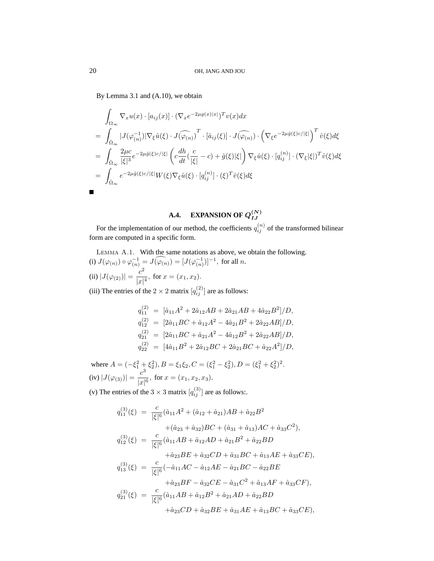By Lemma 3.1 and (A.10), we obtain

$$
\int_{\Omega_{\infty}} \nabla_x u(x) \cdot [a_{ij}(x)] \cdot (\nabla_x e^{-2\mu g(x)|x|})^T v(x) dx
$$
\n
$$
= \int_{\hat{\Omega}_{\infty}} |J(\varphi_{(n)}^{-1})| \nabla_{\xi} \hat{u}(\xi) \cdot J(\widehat{\varphi_{(n)}})^T \cdot [\hat{a}_{ij}(\xi)] \cdot J(\widehat{\varphi_{(n)}}) \cdot (\nabla_{\xi} e^{-2\mu \hat{g}(\xi)c/|\xi|})^T \hat{v}(\xi) d\xi
$$
\n
$$
= \int_{\hat{\Omega}_{\infty}} \frac{2\mu c}{|\xi|^3} e^{-2\mu \hat{g}(\xi)c/|\xi|} \left( c \frac{dh}{dt} (\frac{c}{|\xi|} - c) + \hat{g}(\xi) |\xi| \right) \nabla_{\xi} \hat{u}(\xi) \cdot [q_{ij}^{(n)}] \cdot (\nabla_{\xi} |\xi|)^T \hat{v}(\xi) d\xi
$$
\n
$$
= \int_{\hat{\Omega}_{\infty}} e^{-2\mu \hat{g}(\xi)c/|\xi|} W(\xi) \nabla_{\xi} \hat{u}(\xi) \cdot [q_{ij}^{(n)}] \cdot (\xi)^T \hat{v}(\xi) d\xi
$$

#### **A.4. EXPANSION OF**  $Q_{LI}^{(N)}$ IJ

For the implementation of our method, the coefficients  $q_{ij}^{(n)}$  of the transformed bilinear form are computed in a specific form.

Lemma A.1. With the same notations as above, we obtain the following. (i)  $J(\varphi_{(n)}) \circ \varphi_{(n)}^{-1} = J(\varphi_{(n)}^{-}) = [J(\varphi_{(n)}^{-1})]^{-1}$ , for all n. (ii)  $|J(\varphi_{(2)})| = \frac{c^2}{|x|}$  $\frac{c}{|x|^4}$ , for  $x = (x_1, x_2)$ . (iii) The entries of the  $2 \times 2$  matrix  $[q_{ij}^{(2)}]$  are as follows:

$$
q_{11}^{(2)} = [\hat{a}_{11}A^2 + 2\hat{a}_{12}AB + 2\hat{a}_{21}AB + 4\hat{a}_{22}B^2]/D,
$$
  
\n
$$
q_{12}^{(2)} = [2\hat{a}_{11}BC + \hat{a}_{12}A^2 - 4\hat{a}_{21}B^2 + 2\hat{a}_{22}AB]/D,
$$
  
\n
$$
q_{21}^{(2)} = [2\hat{a}_{11}BC + \hat{a}_{21}A^2 - 4\hat{a}_{12}B^2 + 2\hat{a}_{22}AB]/D,
$$
  
\n
$$
q_{22}^{(2)} = [4\hat{a}_{11}B^2 + 2\hat{a}_{12}BC + 2\hat{a}_{21}BC + \hat{a}_{22}A^2]/D,
$$

where  $A = (-\xi_1^2 + \xi_2^2), B = \xi_1 \xi_2, C = (\xi_1^2 - \xi_2^2), D = (\xi_1^2 + \xi_2^2)^2$ . (iv)  $|J(\varphi_{(3)})| = \frac{c^3}{|x|}$  $\frac{c}{|x|^6}$ , for  $x = (x_1, x_2, x_3)$ .

(v) The entries of the  $3 \times 3$  matrix  $[q_{ij}^{(3)}]$  are as follows:.

$$
q_{11}^{(3)}(\xi) = \frac{c}{|\xi|^6} (\hat{a}_{11}A^2 + (\hat{a}_{12} + \hat{a}_{21})AB + \hat{a}_{22}B^2
$$
  
\n
$$
+ (\hat{a}_{23} + \hat{a}_{32})BC + (\hat{a}_{31} + \hat{a}_{13})AC + \hat{a}_{33}C^2),
$$
  
\n
$$
q_{12}^{(3)}(\xi) = \frac{c}{|\xi|^6} (\hat{a}_{11}AB + \hat{a}_{12}AD + \hat{a}_{21}B^2 + \hat{a}_{22}BD
$$
  
\n
$$
+ \hat{a}_{23}BE + \hat{a}_{32}CD + \hat{a}_{31}BC + \hat{a}_{13}AE + \hat{a}_{33}CE),
$$
  
\n
$$
q_{13}^{(3)}(\xi) = \frac{c}{|\xi|^6} (-\hat{a}_{11}AC - \hat{a}_{12}AE - \hat{a}_{21}BC - \hat{a}_{22}BE
$$
  
\n
$$
+ \hat{a}_{23}BF - \hat{a}_{32}CE - \hat{a}_{31}C^2 + \hat{a}_{13}AF + \hat{a}_{33}CF),
$$
  
\n
$$
q_{21}^{(3)}(\xi) = \frac{c}{|\xi|^6} (\hat{a}_{11}AB + \hat{a}_{12}B^2 + \hat{a}_{21}AD + \hat{a}_{22}BD
$$
  
\n
$$
+ \hat{a}_{23}CD + \hat{a}_{32}BE + \hat{a}_{31}AE + \hat{a}_{13}BC + \hat{a}_{33}CE),
$$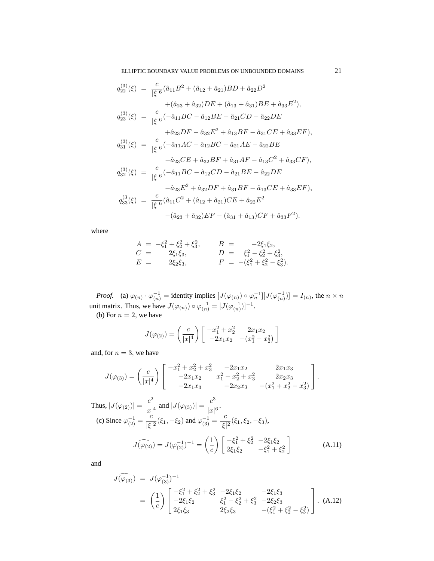ELLIPTIC BOUNDARY VALUE PROBLEMS ON UNBOUNDED DOMAINS 21

$$
q_{22}^{(3)}(\xi) = \frac{c}{|\xi|^6} (\hat{a}_{11}B^2 + (\hat{a}_{12} + \hat{a}_{21})BD + \hat{a}_{22}D^2
$$
  
+  $(\hat{a}_{23} + \hat{a}_{32})DE + (\hat{a}_{13} + \hat{a}_{31})BE + \hat{a}_{33}E^2),$   

$$
q_{23}^{(3)}(\xi) = \frac{c}{|\xi|^6} (-\hat{a}_{11}BC - \hat{a}_{12}BE - \hat{a}_{21}CD - \hat{a}_{22}DE
$$
  
+  $\hat{a}_{23}DF - \hat{a}_{32}E^2 + \hat{a}_{13}BF - \hat{a}_{31}CE + \hat{a}_{33}EF),$   

$$
q_{31}^{(3)}(\xi) = \frac{c}{|\xi|^6} (-\hat{a}_{11}AC - \hat{a}_{12}BC - \hat{a}_{21}AE - \hat{a}_{22}BE
$$
  
-  $\hat{a}_{23}CE + \hat{a}_{32}BF + \hat{a}_{31}AF - \hat{a}_{13}C^2 + \hat{a}_{33}CF),$   

$$
q_{32}^{(3)}(\xi) = \frac{c}{|\xi|^6} (-\hat{a}_{11}BC - \hat{a}_{12}CD - \hat{a}_{21}BE - \hat{a}_{22}DE
$$
  
-  $\hat{a}_{23}E^2 + \hat{a}_{32}DF + \hat{a}_{31}BF - \hat{a}_{13}CE + \hat{a}_{33}EF),$   

$$
q_{33}^{(3)}(\xi) = \frac{c}{|\xi|^6} (\hat{a}_{11}C^2 + (\hat{a}_{12} + \hat{a}_{21})CE + \hat{a}_{22}E^2 - (\hat{a}_{31} + \hat{a}_{13})CF + \hat{a}_{33}F^2).
$$

where

$$
A = -\xi_1^2 + \xi_2^2 + \xi_3^2, \qquad B = -2\xi_1\xi_2, C = 2\xi_1\xi_3, \qquad D = \xi_1^2 - \xi_2^2 + \xi_3^2, E = 2\xi_2\xi_3, \qquad F = -(\xi_1^2 + \xi_2^2 - \xi_3^2).
$$

*Proof.* (a)  $\varphi_{(n)} \cdot \varphi_{(n)}^{-1} =$  identity implies  $[J(\varphi_{(n)}) \circ \varphi_n^{-1}][J(\varphi_{(n)}^{-1})] = I_{(n)}$ , the  $n \times n$ unit matrix. Thus, we have  $J(\varphi_{(n)}) \circ \varphi_{(n)}^{-1} = [J(\varphi_{(n)}^{-1})]^{-1}$ .

(b) For  $n = 2$ , we have

$$
J(\varphi_{(2)}) = \left(\frac{c}{|x|^4}\right) \begin{bmatrix} -x_1^2 + x_2^2 & 2x_1x_2 \\ -2x_1x_2 & -(x_1^2 - x_2^2) \end{bmatrix}
$$

and, for  $n = 3$ , we have

$$
J(\varphi_{(3)}) = \left(\frac{c}{|x|^4}\right) \begin{bmatrix} -x_1^2 + x_2^2 + x_3^2 & -2x_1x_2 & 2x_1x_3 \\ -2x_1x_2 & x_1^2 - x_2^2 + x_3^2 & 2x_2x_3 \\ -2x_1x_3 & -2x_2x_3 & -(x_1^2 + x_2^2 - x_3^2) \end{bmatrix}.
$$

Thus,  $|J(\varphi_{(2)})| = \frac{c^2}{|x|}$  $\frac{c^2}{|x|^4}$  and  $|J(\varphi_{(3)})| = \frac{c^3}{|x|}$  $\frac{6}{|x|^6}$ . (c) Since  $\varphi_{(2)}^{-1} = \frac{c}{|\xi|}$  $\frac{c}{|\xi|^2}(\xi_1, -\xi_2)$  and  $\varphi_{(3)}^{-1} = \frac{c}{|\xi|}$  $\frac{6}{|\xi|^2}(\xi_1,\xi_2,-\xi_3),$  $J(\widehat{\varphi_{(2)}}) = J(\varphi_{(2)}^{-1})^{-1} = \left(\frac{1}{c}\right)$ c  $\int -\xi_1^2 + \xi_2^2 -2\xi_1\xi_2$  $2\xi_1\xi_2$   $-\xi_1^2 + \xi_2^2$ 1 (A.11)

and

$$
J(\widehat{\varphi_{(3)}}) = J(\varphi_{(3)}^{-1})^{-1}
$$
  
=  $\left(\frac{1}{c}\right) \begin{bmatrix} -\xi_1^2 + \xi_2^2 + \xi_3^2 & -2\xi_1\xi_2 & -2\xi_1\xi_3 \\ -2\xi_1\xi_2 & \xi_1^2 - \xi_2^2 + \xi_3^2 & -2\xi_2\xi_3 \\ 2\xi_1\xi_3 & 2\xi_2\xi_3 & -(\xi_1^2 + \xi_2^2 - \xi_3^2) \end{bmatrix}$ . (A.12)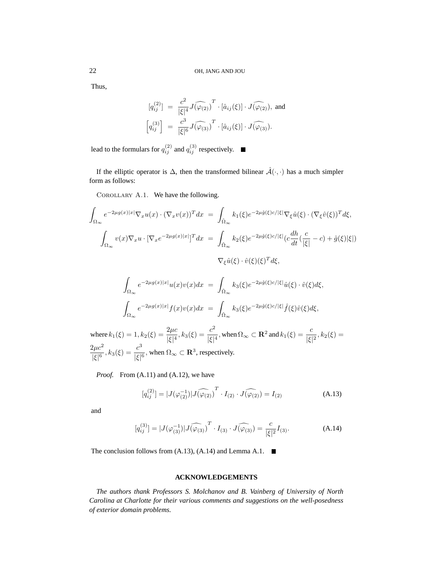Thus,

$$
[q_{ij}^{(2)}] = \frac{c^2}{|\xi|^4} J(\widehat{\varphi}_{(2)})^T \cdot [\hat{a}_{ij}(\xi)] \cdot J(\widehat{\varphi}_{(2)}), \text{ and}
$$

$$
\left[q_{ij}^{(3)}\right] = \frac{c^3}{|\xi|^6} J(\widehat{\varphi}_{(3)})^T \cdot [\hat{a}_{ij}(\xi)] \cdot J(\widehat{\varphi}_{(3)}).
$$

lead to the formulars for  $q_{ij}^{(2)}$  and  $q_{ij}^{(3)}$  respectively.

If the elliptic operator is  $\Delta$ , then the transformed bilinear  $\hat{\mathcal{A}}(\cdot,\cdot)$  has a much simpler form as follows:

COROLLARY A.1. We have the following.

$$
\int_{\Omega_{\infty}} e^{-2\mu g(x)|x|} \nabla_x u(x) \cdot (\nabla_x v(x))^T dx = \int_{\hat{\Omega}_{\infty}} k_1(\xi) e^{-2\mu \hat{g}(\xi)c/|\xi|} \nabla_{\xi} \hat{u}(\xi) \cdot (\nabla_{\xi} \hat{v}(\xi))^T d\xi,
$$
\n
$$
\int_{\Omega_{\infty}} v(x) \nabla_x u \cdot [\nabla_x e^{-2\mu g(x)|x|}]^T dx = \int_{\hat{\Omega}_{\infty}} k_2(\xi) e^{-2\mu \hat{g}(\xi)c/|\xi|} (c \frac{dh}{dt} (\frac{c}{|\xi|} - c) + \hat{g}(\xi)|\xi|)
$$
\n
$$
\nabla_{\xi} \hat{u}(\xi) \cdot \hat{v}(\xi) (\xi)^T d\xi,
$$

$$
\int_{\Omega_{\infty}} e^{-2\mu g(x)|x|} u(x)v(x) dx = \int_{\hat{\Omega}_{\infty}} k_3(\xi) e^{-2\mu \hat{g}(\xi)c/|\xi|} \hat{u}(\xi) \cdot \hat{v}(\xi) d\xi,
$$
  

$$
\int_{\Omega_{\infty}} e^{-2\mu g(x)|x|} f(x)v(x) dx = \int_{\hat{\Omega}_{\infty}} k_3(\xi) e^{-2\mu \hat{g}(\xi)c/|\xi|} \hat{f}(\xi) \hat{v}(\xi) d\xi,
$$

where  $k_1(\xi) = 1, k_2(\xi) = \frac{2\mu c}{|\xi|^4}$  $\frac{2\mu c}{|\xi|^4}$ ,  $k_3(\xi) = \frac{c^2}{|\xi|^4}$  $\frac{c^2}{|\xi|^4}$ , when  $\Omega_{\infty} \subset \mathbf{R}^2$  and  $k_1(\xi) = \frac{c}{|\xi|}$  $\frac{1}{|\xi|^2}, k_2(\xi) =$  $2\mu c^2$  $\frac{2\mu c^2}{|\xi|^6}$ ,  $k_3(\xi) = \frac{c^3}{|\xi|}$  $\frac{c}{|\xi|^6}$ , when  $\Omega_{\infty} \subset \mathbf{R}^3$ , respectively.

*Proof.* From (A.11) and (A.12), we have

$$
[q_{ij}^{(2)}] = |J(\varphi_{(2)}^{-1})| \widehat{J(\varphi_{(2)})}^T \cdot I_{(2)} \cdot \widehat{J(\varphi_{(2)})} = I_{(2)} \tag{A.13}
$$

and

$$
[q_{ij}^{(3)}] = |J(\varphi_{(3)}^{-1})| \widehat{J(\varphi_{(3)})}^T \cdot I_{(3)} \cdot \widehat{J(\varphi_{(3)})} = \frac{c}{|\xi|^2} I_{(3)}.
$$
 (A.14)

The conclusion follows from  $(A.13)$ ,  $(A.14)$  and Lemma A.1.  $\blacksquare$ 

# **ACKNOWLEDGEMENTS**

*The authors thank Professors S. Molchanov and B. Vainberg of University of North Carolina at Charlotte for their various comments and suggestions on the well-posedness of exterior domain problems.*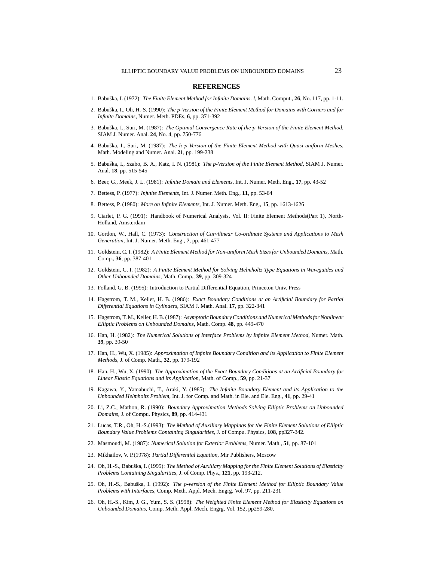#### **REFERENCES**

- 1. Babuška, I. (1972): *The Finite Element Method for Infinite Domains. I*, Math. Comput., **26**, No. 117, pp. 1-11.
- 2. Babuška, I., Oh, H.-S. (1990): The p-Version of the Finite Element Method for Domains with Corners and for *Infinite Domains,* Numer. Meth. PDEs, **6**, pp. 371-392
- 3. Babuška, I., Suri, M. (1987): The Optimal Convergence Rate of the p-Version of the Finite Element Method, SIAM J. Numer. Anal. **24**, No. 4, pp. 750-776
- 4. Babuska, I., Suri, M. (1987): ˇ *The* h*-*p *Version of the Finite Element Method with Quasi-uniform Meshes,* Math. Modeling and Numer. Anal. **21**, pp. 199-238
- 5. Babuška, I., Szabo, B. A., Katz, I. N. (1981): The p-Version of the Finite Element Method, SIAM J. Numer. Anal. **18**, pp. 515-545
- 6. Beer, G., Meek, J. L. (1981): *Infinite Domain and Elements,* Int. J. Numer. Meth. Eng., **17**, pp. 43-52
- 7. Bettess, P. (1977): *Infinite Elements,* Int. J. Numer. Meth. Eng., **11**, pp. 53-64
- 8. Bettess, P. (1980): *More on Infinite Elements,* Int. J. Numer. Meth. Eng., **15**, pp. 1613-1626
- 9. Ciarlet, P. G. (1991): Handbook of Numerical Analysis, Vol. II: Finite Element Methods(Part 1), North-Holland, Amsterdam
- 10. Gordon, W., Hall, C. (1973): *Construction of Curvilinear Co-ordinate Systems and Applications to Mesh Generation,* Int. J. Numer. Meth. Eng., **7**, pp. 461-477
- 11. Goldstein, C. I. (1982): *A Finite Element Method for Non-uniform Mesh Sizes for Unbounded Domains,* Math. Comp., **36**, pp. 387-401
- 12. Goldstein, C. I. (1982): *A Finite Element Method for Solving Helmholtz Type Equations in Waveguides and Other Unbounded Domains,* Math. Comp., **39**, pp. 309-324
- 13. Folland, G. B. (1995): Introduction to Partial Differential Equation, Princeton Univ. Press
- 14. Hagstrom, T. M., Keller, H. B. (1986): *Exact Boundary Conditions at an Artificial Boundary for Partial Differential Equations in Cylinders,* SIAM J. Math. Anal. **17**, pp. 322-341
- 15. Hagstrom, T. M., Keller, H. B. (1987): *Asymptotic Boundary Conditions and Numerical Methods for Nonlinear Elliptic Problems on Unbounded Domains,* Math. Comp. **48**, pp. 449-470
- 16. Han, H. (1982): *The Numerical Solutions of Interface Problems by Infinite Element Method,* Numer. Math. **39**, pp. 39-50
- 17. Han, H., Wu, X. (1985): *Approximation of Infinite Boundary Condition and its Application to Finite Element Methods,* J. of Comp. Math., **32**, pp. 179-192
- 18. Han, H., Wu, X. (1990): *The Approximation of the Exact Boundary Conditions at an Artificial Boundary for Linear Elastic Equations and its Application,* Math. of Comp., **59**, pp. 21-37
- 19. Kagawa, Y., Yamabuchi, T., Araki, Y. (1985): *The Infinite Boundary Element and its Application to the Unbounded Helmholtz Problem,* Int. J. for Comp. and Math. in Ele. and Ele. Eng., **41**, pp. 29-41
- 20. Li, Z.C., Mathon, R. (1990): *Boundary Approximation Methods Solving Elliptic Problems on Unbounded Domains,* J. of Compu. Physics, **89**, pp. 414-431
- 21. Lucas, T.R., Oh, H.-S.(1993): *The Method of Auxiliary Mappings for the Finite Element Solutions of Elliptic Boundary Value Problems Containing Singularities,* J. of Compu. Physics, **108**, pp327-342.
- 22. Masmoudi, M. (1987): *Numerical Solution for Exterior Problems,* Numer. Math., **51**, pp. 87-101
- 23. Mikhailov, V. P.(1978): *Partial Differential Equation,* Mir Publishers, Moscow
- 24. Oh, H.-S., Babuška, I. (1995): The Method of Auxiliary Mapping for the Finite Element Solutions of Elasticity *Problems Containing Singularities,* J. of Comp. Phys., **121**, pp. 193-212.
- 25. Oh, H.-S., Babuška, I. (1992): *The p-version of the Finite Element Method for Elliptic Boundary Value Problems with Interfaces,* Comp. Meth. Appl. Mech. Engrg, Vol. 97, pp. 211-231
- 26. Oh, H.-S., Kim, J. G., Yum, S. S. (1998): *The Weighted Finite Element Method for Elasticity Equations on Unbounded Domains,* Comp. Meth. Appl. Mech. Engrg, Vol. 152, pp259-280.